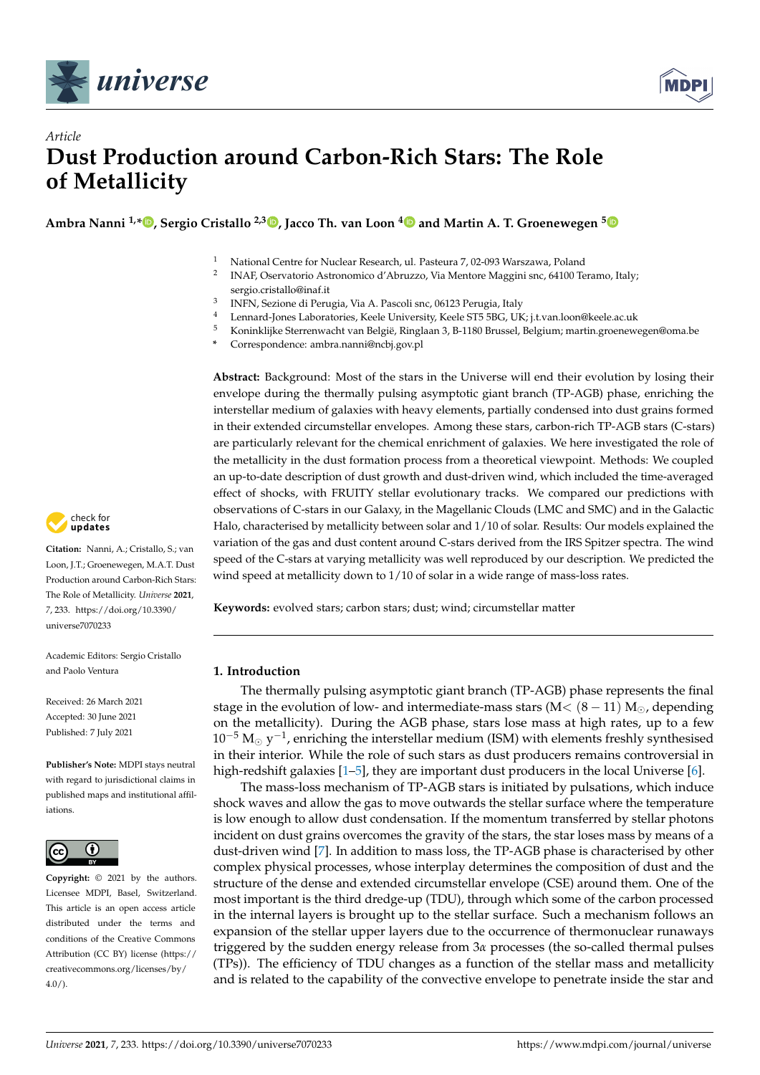



# *Article* **Dust Production around Carbon-Rich Stars: The Role of Metallicity**

**Ambra Nanni 1,\* [,](https://orcid.org/0000-0001-6652-1069) Sergio Cristallo 2,3 [,](https://orcid.org/0000-0001-9683-9406) Jacco Th. van Loon [4](https://orcid.org/0000-0002-1272-3017) and Martin A. T. Groenewegen [5](https://orcid.org/0000-0003-2723-6075)**

- <sup>1</sup> National Centre for Nuclear Research, ul. Pasteura 7, 02-093 Warszawa, Poland
- 2 INAF, Oservatorio Astronomico d'Abruzzo, Via Mentore Maggini snc, 64100 Teramo, Italy; sergio.cristallo@inaf.it
- 3 INFN, Sezione di Perugia, Via A. Pascoli snc, 06123 Perugia, Italy
- <sup>4</sup> Lennard-Jones Laboratories, Keele University, Keele ST5 5BG, UK; j.t.van.loon@keele.ac.uk<br><sup>5</sup> Koninklijke Starrenwecht van Belsië, Pinglaan <sup>2</sup>, B 1180 Brussel, Belsium martin greenswe
- <sup>5</sup> Koninklijke Sterrenwacht van België, Ringlaan 3, B-1180 Brussel, Belgium; martin.groenewegen@oma.be
- **\*** Correspondence: ambra.nanni@ncbj.gov.pl

**Abstract:** Background: Most of the stars in the Universe will end their evolution by losing their envelope during the thermally pulsing asymptotic giant branch (TP-AGB) phase, enriching the interstellar medium of galaxies with heavy elements, partially condensed into dust grains formed in their extended circumstellar envelopes. Among these stars, carbon-rich TP-AGB stars (C-stars) are particularly relevant for the chemical enrichment of galaxies. We here investigated the role of the metallicity in the dust formation process from a theoretical viewpoint. Methods: We coupled an up-to-date description of dust growth and dust-driven wind, which included the time-averaged effect of shocks, with FRUITY stellar evolutionary tracks. We compared our predictions with observations of C-stars in our Galaxy, in the Magellanic Clouds (LMC and SMC) and in the Galactic Halo, characterised by metallicity between solar and 1/10 of solar. Results: Our models explained the variation of the gas and dust content around C-stars derived from the IRS Spitzer spectra. The wind speed of the C-stars at varying metallicity was well reproduced by our description. We predicted the wind speed at metallicity down to 1/10 of solar in a wide range of mass-loss rates.

**Keywords:** evolved stars; carbon stars; dust; wind; circumstellar matter

# **1. Introduction**

The thermally pulsing asymptotic giant branch (TP-AGB) phase represents the final stage in the evolution of low- and intermediate-mass stars ( $M < (8 - 11) M_{\odot}$ , depending on the metallicity). During the AGB phase, stars lose mass at high rates, up to a few  $10^{-5}$  M<sub>o</sub> y<sup>-1</sup>, enriching the interstellar medium (ISM) with elements freshly synthesised in their interior. While the role of such stars as dust producers remains controversial in high-redshift galaxies [\[1](#page-13-0)[–5\]](#page-13-1), they are important dust producers in the local Universe [\[6\]](#page-13-2).

The mass-loss mechanism of TP-AGB stars is initiated by pulsations, which induce shock waves and allow the gas to move outwards the stellar surface where the temperature is low enough to allow dust condensation. If the momentum transferred by stellar photons incident on dust grains overcomes the gravity of the stars, the star loses mass by means of a dust-driven wind [\[7\]](#page-13-3). In addition to mass loss, the TP-AGB phase is characterised by other complex physical processes, whose interplay determines the composition of dust and the structure of the dense and extended circumstellar envelope (CSE) around them. One of the most important is the third dredge-up (TDU), through which some of the carbon processed in the internal layers is brought up to the stellar surface. Such a mechanism follows an expansion of the stellar upper layers due to the occurrence of thermonuclear runaways triggered by the sudden energy release from 3*α* processes (the so-called thermal pulses (TPs)). The efficiency of TDU changes as a function of the stellar mass and metallicity and is related to the capability of the convective envelope to penetrate inside the star and



**Citation:** Nanni, A.; Cristallo, S.; van Loon, J.T.; Groenewegen, M.A.T. Dust Production around Carbon-Rich Stars: The Role of Metallicity. *Universe* **2021**, *7*, 233. [https://doi.org/10.3390/](https://doi.org/10.3390/universe7070233) [universe7070233](https://doi.org/10.3390/universe7070233)

Academic Editors: Sergio Cristallo and Paolo Ventura

Received: 26 March 2021 Accepted: 30 June 2021 Published: 7 July 2021

**Publisher's Note:** MDPI stays neutral with regard to jurisdictional claims in published maps and institutional affiliations.



**Copyright:** © 2021 by the authors. Licensee MDPI, Basel, Switzerland. This article is an open access article distributed under the terms and conditions of the Creative Commons Attribution (CC BY) license (https:/[/](https://creativecommons.org/licenses/by/4.0/) [creativecommons.org/licenses/by/](https://creativecommons.org/licenses/by/4.0/)  $4.0/$ ).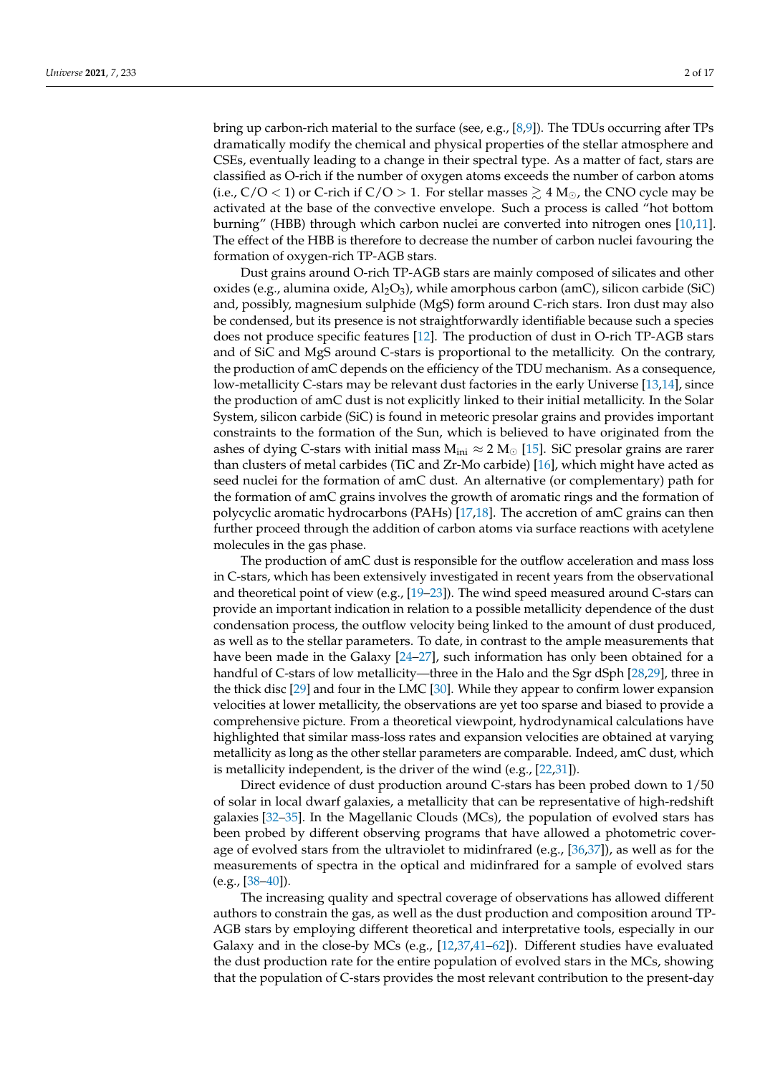bring up carbon-rich material to the surface (see, e.g., [\[8,](#page-13-4)[9\]](#page-13-5)). The TDUs occurring after TPs dramatically modify the chemical and physical properties of the stellar atmosphere and CSEs, eventually leading to a change in their spectral type. As a matter of fact, stars are classified as O-rich if the number of oxygen atoms exceeds the number of carbon atoms (i.e.,  $C/O < 1$ ) or C-rich if  $C/O > 1$ . For stellar masses  $\geq 4$  M<sub>o</sub>, the CNO cycle may be activated at the base of the convective envelope. Such a process is called "hot bottom burning" (HBB) through which carbon nuclei are converted into nitrogen ones [\[10,](#page-13-6)[11\]](#page-13-7). The effect of the HBB is therefore to decrease the number of carbon nuclei favouring the formation of oxygen-rich TP-AGB stars.

Dust grains around O-rich TP-AGB stars are mainly composed of silicates and other oxides (e.g., alumina oxide,  $Al_2O_3$ ), while amorphous carbon (amC), silicon carbide (SiC) and, possibly, magnesium sulphide (MgS) form around C-rich stars. Iron dust may also be condensed, but its presence is not straightforwardly identifiable because such a species does not produce specific features [\[12\]](#page-13-8). The production of dust in O-rich TP-AGB stars and of SiC and MgS around C-stars is proportional to the metallicity. On the contrary, the production of amC depends on the efficiency of the TDU mechanism. As a consequence, low-metallicity C-stars may be relevant dust factories in the early Universe [\[13,](#page-13-9)[14\]](#page-13-10), since the production of amC dust is not explicitly linked to their initial metallicity. In the Solar System, silicon carbide (SiC) is found in meteoric presolar grains and provides important constraints to the formation of the Sun, which is believed to have originated from the ashes of dying C-stars with initial mass  $M_{ini} \approx 2 M_{\odot}$  [\[15\]](#page-13-11). SiC presolar grains are rarer than clusters of metal carbides (TiC and Zr-Mo carbide) [\[16\]](#page-13-12), which might have acted as seed nuclei for the formation of amC dust. An alternative (or complementary) path for the formation of amC grains involves the growth of aromatic rings and the formation of polycyclic aromatic hydrocarbons (PAHs) [\[17](#page-13-13)[,18\]](#page-13-14). The accretion of amC grains can then further proceed through the addition of carbon atoms via surface reactions with acetylene molecules in the gas phase.

The production of amC dust is responsible for the outflow acceleration and mass loss in C-stars, which has been extensively investigated in recent years from the observational and theoretical point of view (e.g.,  $[19-23]$  $[19-23]$ ). The wind speed measured around C-stars can provide an important indication in relation to a possible metallicity dependence of the dust condensation process, the outflow velocity being linked to the amount of dust produced, as well as to the stellar parameters. To date, in contrast to the ample measurements that have been made in the Galaxy [\[24](#page-13-17)[–27\]](#page-13-18), such information has only been obtained for a handful of C-stars of low metallicity—three in the Halo and the Sgr dSph [\[28](#page-13-19)[,29\]](#page-13-20), three in the thick disc [\[29\]](#page-13-20) and four in the LMC [\[30\]](#page-14-0). While they appear to confirm lower expansion velocities at lower metallicity, the observations are yet too sparse and biased to provide a comprehensive picture. From a theoretical viewpoint, hydrodynamical calculations have highlighted that similar mass-loss rates and expansion velocities are obtained at varying metallicity as long as the other stellar parameters are comparable. Indeed, amC dust, which is metallicity independent, is the driver of the wind (e.g., [\[22,](#page-13-21)[31\]](#page-14-1)).

Direct evidence of dust production around C-stars has been probed down to 1/50 of solar in local dwarf galaxies, a metallicity that can be representative of high-redshift galaxies [\[32](#page-14-2)[–35\]](#page-14-3). In the Magellanic Clouds (MCs), the population of evolved stars has been probed by different observing programs that have allowed a photometric coverage of evolved stars from the ultraviolet to midinfrared (e.g.,  $[36,37]$  $[36,37]$ ), as well as for the measurements of spectra in the optical and midinfrared for a sample of evolved stars (e.g., [\[38–](#page-14-6)[40\]](#page-14-7)).

The increasing quality and spectral coverage of observations has allowed different authors to constrain the gas, as well as the dust production and composition around TP-AGB stars by employing different theoretical and interpretative tools, especially in our Galaxy and in the close-by MCs (e.g., [\[12](#page-13-8)[,37](#page-14-5)[,41–](#page-14-8)[62\]](#page-15-0)). Different studies have evaluated the dust production rate for the entire population of evolved stars in the MCs, showing that the population of C-stars provides the most relevant contribution to the present-day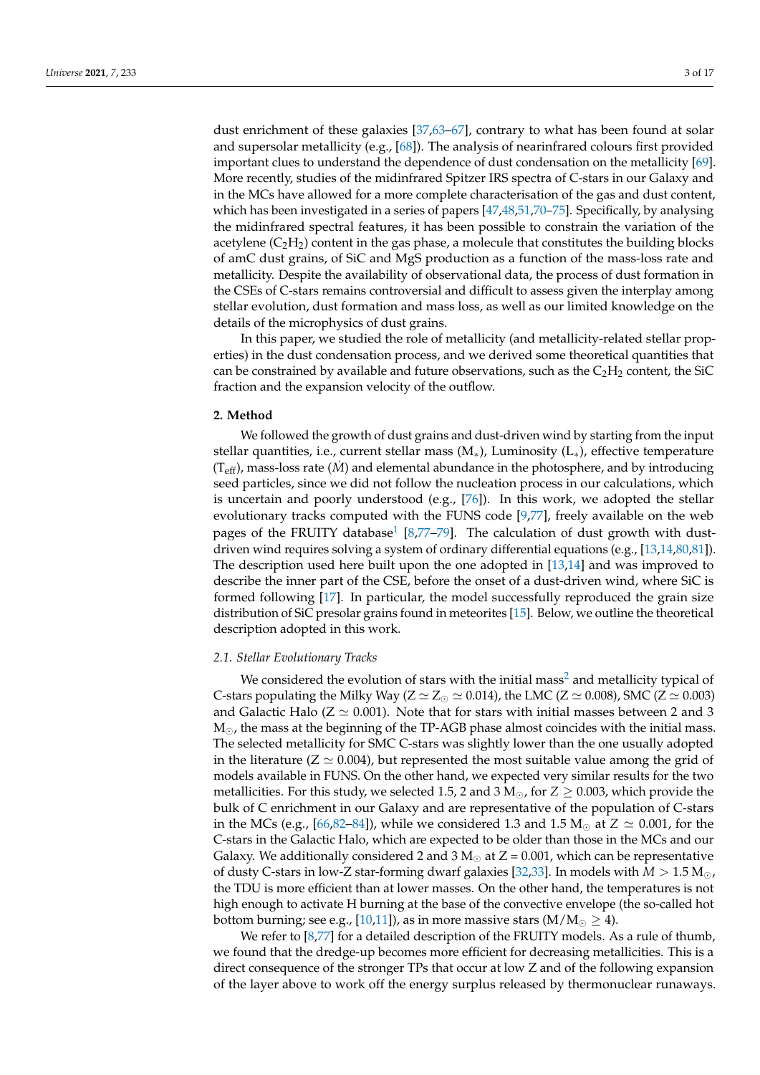dust enrichment of these galaxies [\[37](#page-14-5)[,63–](#page-15-1)[67\]](#page-15-2), contrary to what has been found at solar and supersolar metallicity (e.g.,  $[68]$ ). The analysis of nearinfrared colours first provided important clues to understand the dependence of dust condensation on the metallicity [\[69\]](#page-15-4). More recently, studies of the midinfrared Spitzer IRS spectra of C-stars in our Galaxy and in the MCs have allowed for a more complete characterisation of the gas and dust content, which has been investigated in a series of papers [\[47](#page-14-9)[,48](#page-14-10)[,51,](#page-14-11)[70](#page-15-5)[–75\]](#page-15-6). Specifically, by analysing the midinfrared spectral features, it has been possible to constrain the variation of the acetylene  $(C_2H_2)$  content in the gas phase, a molecule that constitutes the building blocks of amC dust grains, of SiC and MgS production as a function of the mass-loss rate and metallicity. Despite the availability of observational data, the process of dust formation in the CSEs of C-stars remains controversial and difficult to assess given the interplay among stellar evolution, dust formation and mass loss, as well as our limited knowledge on the details of the microphysics of dust grains.

In this paper, we studied the role of metallicity (and metallicity-related stellar properties) in the dust condensation process, and we derived some theoretical quantities that can be constrained by available and future observations, such as the  $C_2H_2$  content, the SiC fraction and the expansion velocity of the outflow.

## **2. Method**

<span id="page-2-1"></span>We followed the growth of dust grains and dust-driven wind by starting from the input stellar quantities, i.e., current stellar mass ( $M_*$ ), Luminosity ( $L_*$ ), effective temperature  $(T_{\text{eff}})$ , mass-loss rate ( $\dot{M}$ ) and elemental abundance in the photosphere, and by introducing seed particles, since we did not follow the nucleation process in our calculations, which is uncertain and poorly understood (e.g.,  $[76]$ ). In this work, we adopted the stellar evolutionary tracks computed with the FUNS code [\[9,](#page-13-5)[77\]](#page-16-1), freely available on the web pages of the FRUITY database<sup>[1](#page-12-0)</sup> [\[8,](#page-13-4)[77](#page-16-1)-79]. The calculation of dust growth with dustdriven wind requires solving a system of ordinary differential equations (e.g., [\[13](#page-13-9)[,14](#page-13-10)[,80,](#page-16-3)[81\]](#page-16-4)). The description used here built upon the one adopted in [\[13](#page-13-9)[,14\]](#page-13-10) and was improved to describe the inner part of the CSE, before the onset of a dust-driven wind, where SiC is formed following [\[17\]](#page-13-13). In particular, the model successfully reproduced the grain size distribution of SiC presolar grains found in meteorites [\[15\]](#page-13-11). Below, we outline the theoretical description adopted in this work.

## <span id="page-2-0"></span>*2.1. Stellar Evolutionary Tracks*

<span id="page-2-2"></span>We considered the evolution of stars with the initial mass<sup>[2](#page-12-1)</sup> and metallicity typical of C-stars populating the Milky Way ( $Z \simeq Z_{\odot} \simeq 0.014$ ), the LMC ( $Z \simeq 0.008$ ), SMC ( $Z \simeq 0.003$ ) and Galactic Halo ( $Z \simeq 0.001$ ). Note that for stars with initial masses between 2 and 3  $M_{\odot}$ , the mass at the beginning of the TP-AGB phase almost coincides with the initial mass. The selected metallicity for SMC C-stars was slightly lower than the one usually adopted in the literature ( $Z \simeq 0.004$ ), but represented the most suitable value among the grid of models available in FUNS. On the other hand, we expected very similar results for the two metallicities. For this study, we selected 1.5, 2 and 3  $M_{\odot}$ , for  $Z \ge 0.003$ , which provide the bulk of C enrichment in our Galaxy and are representative of the population of C-stars in the MCs (e.g., [\[66](#page-15-7)[,82–](#page-16-5)[84\]](#page-16-6)), while we considered 1.3 and 1.5  $M_{\odot}$  at  $Z \simeq 0.001$ , for the C-stars in the Galactic Halo, which are expected to be older than those in the MCs and our Galaxy. We additionally considered 2 and 3  $M_{\odot}$  at  $Z = 0.001$ , which can be representative of dusty C-stars in low-Z star-forming dwarf galaxies [\[32](#page-14-2)[,33\]](#page-14-12). In models with  $M > 1.5$  Mo, the TDU is more efficient than at lower masses. On the other hand, the temperatures is not high enough to activate H burning at the base of the convective envelope (the so-called hot bottom burning; see e.g., [\[10,](#page-13-6)[11\]](#page-13-7)), as in more massive stars (M/M $_{\odot} \geq 4$ ).

We refer to [\[8,](#page-13-4)[77\]](#page-16-1) for a detailed description of the FRUITY models. As a rule of thumb, we found that the dredge-up becomes more efficient for decreasing metallicities. This is a direct consequence of the stronger TPs that occur at low Z and of the following expansion of the layer above to work off the energy surplus released by thermonuclear runaways.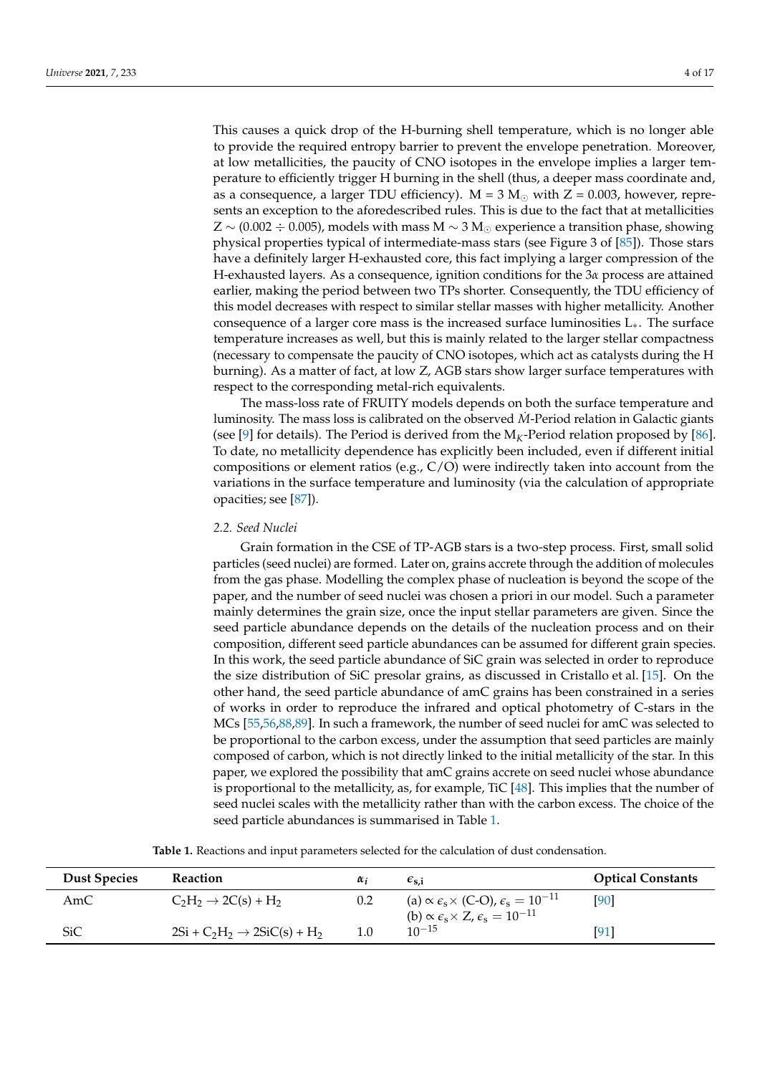This causes a quick drop of the H-burning shell temperature, which is no longer able to provide the required entropy barrier to prevent the envelope penetration. Moreover, at low metallicities, the paucity of CNO isotopes in the envelope implies a larger temperature to efficiently trigger H burning in the shell (thus, a deeper mass coordinate and, as a consequence, a larger TDU efficiency).  $M = 3 M_{\odot}$  with  $Z = 0.003$ , however, represents an exception to the aforedescribed rules. This is due to the fact that at metallicities Z ~ (0.002 ÷ 0.005), models with mass M ~ 3 M<sub>☉</sub> experience a transition phase, showing physical properties typical of intermediate-mass stars (see Figure 3 of [\[85\]](#page-16-7)). Those stars have a definitely larger H-exhausted core, this fact implying a larger compression of the H-exhausted layers. As a consequence, ignition conditions for the 3*α* process are attained earlier, making the period between two TPs shorter. Consequently, the TDU efficiency of this model decreases with respect to similar stellar masses with higher metallicity. Another consequence of a larger core mass is the increased surface luminosities  $L_*$ . The surface temperature increases as well, but this is mainly related to the larger stellar compactness (necessary to compensate the paucity of CNO isotopes, which act as catalysts during the H burning). As a matter of fact, at low Z, AGB stars show larger surface temperatures with respect to the corresponding metal-rich equivalents.

The mass-loss rate of FRUITY models depends on both the surface temperature and luminosity. The mass loss is calibrated on the observed *M*˙ -Period relation in Galactic giants (see [\[9\]](#page-13-5) for details). The Period is derived from the  $M_K$ -Period relation proposed by [\[86\]](#page-16-8). To date, no metallicity dependence has explicitly been included, even if different initial compositions or element ratios (e.g., C/O) were indirectly taken into account from the variations in the surface temperature and luminosity (via the calculation of appropriate opacities; see [\[87\]](#page-16-9)).

## *2.2. Seed Nuclei*

Grain formation in the CSE of TP-AGB stars is a two-step process. First, small solid particles (seed nuclei) are formed. Later on, grains accrete through the addition of molecules from the gas phase. Modelling the complex phase of nucleation is beyond the scope of the paper, and the number of seed nuclei was chosen a priori in our model. Such a parameter mainly determines the grain size, once the input stellar parameters are given. Since the seed particle abundance depends on the details of the nucleation process and on their composition, different seed particle abundances can be assumed for different grain species. In this work, the seed particle abundance of SiC grain was selected in order to reproduce the size distribution of SiC presolar grains, as discussed in Cristallo et al. [\[15\]](#page-13-11). On the other hand, the seed particle abundance of amC grains has been constrained in a series of works in order to reproduce the infrared and optical photometry of C-stars in the MCs [\[55,](#page-15-8)[56,](#page-15-9)[88,](#page-16-10)[89\]](#page-16-11). In such a framework, the number of seed nuclei for amC was selected to be proportional to the carbon excess, under the assumption that seed particles are mainly composed of carbon, which is not directly linked to the initial metallicity of the star. In this paper, we explored the possibility that amC grains accrete on seed nuclei whose abundance is proportional to the metallicity, as, for example, TiC [\[48\]](#page-14-10). This implies that the number of seed nuclei scales with the metallicity rather than with the carbon excess. The choice of the seed particle abundances is summarised in Table [1.](#page-3-0)

**Table 1.** Reactions and input parameters selected for the calculation of dust condensation.

<span id="page-3-0"></span>

| <b>Dust Species</b> | <b>Reaction</b>                          | o i | $\epsilon_{\rm s.i}$                                                    | <b>Optical Constants</b> |
|---------------------|------------------------------------------|-----|-------------------------------------------------------------------------|--------------------------|
| AmC                 | $C_2H_2 \rightarrow 2C(s) + H_2$         | 0.2 | (a) $\propto \epsilon_s \times (C\text{-}O)$ , $\epsilon_s = 10^{-11}$  | [90]                     |
|                     |                                          |     | (b) $\propto \epsilon_{\rm s} \times Z$ , $\epsilon_{\rm s} = 10^{-11}$ |                          |
| SiC                 | $2Si + C_2H_2 \rightarrow 2SiC(s) + H_2$ | 1.0 | $10^{-15}$                                                              | [91]                     |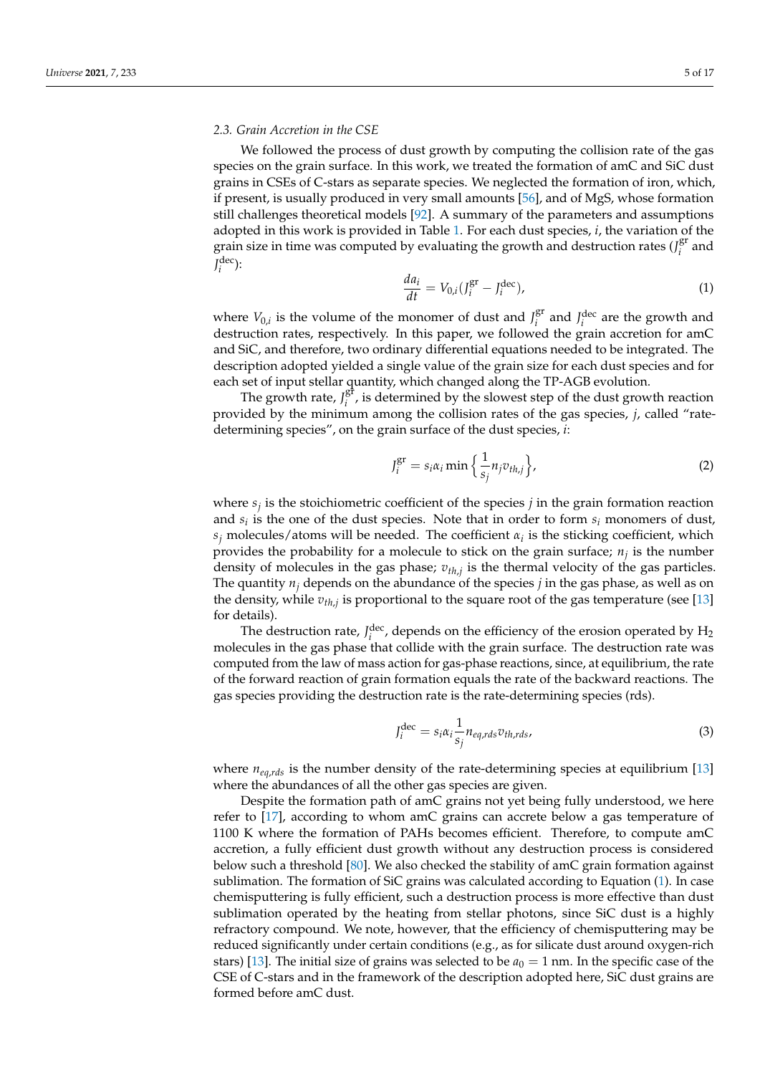## *2.3. Grain Accretion in the CSE*

We followed the process of dust growth by computing the collision rate of the gas species on the grain surface. In this work, we treated the formation of amC and SiC dust grains in CSEs of C-stars as separate species. We neglected the formation of iron, which, if present, is usually produced in very small amounts [\[56\]](#page-15-9), and of MgS, whose formation still challenges theoretical models [\[92\]](#page-16-14). A summary of the parameters and assumptions adopted in this work is provided in Table [1.](#page-3-0) For each dust species, *i*, the variation of the grain size in time was computed by evaluating the growth and destruction rates (*J* gr  $i$ <sup>51</sup> and  $J_i^{\text{dec}}$ ):

<span id="page-4-0"></span>
$$
\frac{da_i}{dt} = V_{0,i}(J_i^{\text{gr}} - J_i^{\text{dec}}),\tag{1}
$$

where  $V_{0,i}$  is the volume of the monomer of dust and  $J_i^{\text{gr}}$  $\int_i^{\text{gr}}$  and  $J_i^{\text{dec}}$  are the growth and destruction rates, respectively. In this paper, we followed the grain accretion for amC and SiC, and therefore, two ordinary differential equations needed to be integrated. The description adopted yielded a single value of the grain size for each dust species and for each set of input stellar quantity, which changed along the TP-AGB evolution.

The growth rate,  $J_i^{\text{gt}}$  $i<sup>i</sup>$ , is determined by the slowest step of the dust growth reaction provided by the minimum among the collision rates of the gas species, *j*, called "ratedetermining species", on the grain surface of the dust species, *i*:

$$
J_i^{\text{gr}} = s_i \alpha_i \min \left\{ \frac{1}{s_j} n_j v_{th,j} \right\},\tag{2}
$$

where  $s_j$  is the stoichiometric coefficient of the species  $j$  in the grain formation reaction and  $s_i$  is the one of the dust species. Note that in order to form  $s_i$  monomers of dust,  $s_j$  molecules/atoms will be needed. The coefficient  $\alpha_i$  is the sticking coefficient, which provides the probability for a molecule to stick on the grain surface; *n<sup>j</sup>* is the number density of molecules in the gas phase; *vth*,*<sup>j</sup>* is the thermal velocity of the gas particles. The quantity  $n_i$  depends on the abundance of the species *j* in the gas phase, as well as on the density, while *vth*,*<sup>j</sup>* is proportional to the square root of the gas temperature (see [\[13\]](#page-13-9) for details).

The destruction rate,  $J_i^{\text{dec}}$ , depends on the efficiency of the erosion operated by  $H_2$ molecules in the gas phase that collide with the grain surface. The destruction rate was computed from the law of mass action for gas-phase reactions, since, at equilibrium, the rate of the forward reaction of grain formation equals the rate of the backward reactions. The gas species providing the destruction rate is the rate-determining species (rds).

$$
J_i^{\text{dec}} = s_i \alpha_i \frac{1}{s_j} n_{eq, rds} v_{th, rds},
$$
\n(3)

where  $n_{eards}$  is the number density of the rate-determining species at equilibrium [\[13\]](#page-13-9) where the abundances of all the other gas species are given.

Despite the formation path of amC grains not yet being fully understood, we here refer to [\[17\]](#page-13-13), according to whom amC grains can accrete below a gas temperature of 1100 K where the formation of PAHs becomes efficient. Therefore, to compute amC accretion, a fully efficient dust growth without any destruction process is considered below such a threshold [\[80\]](#page-16-3). We also checked the stability of amC grain formation against sublimation. The formation of SiC grains was calculated according to Equation [\(1\)](#page-4-0). In case chemisputtering is fully efficient, such a destruction process is more effective than dust sublimation operated by the heating from stellar photons, since SiC dust is a highly refractory compound. We note, however, that the efficiency of chemisputtering may be reduced significantly under certain conditions (e.g., as for silicate dust around oxygen-rich stars) [\[13\]](#page-13-9). The initial size of grains was selected to be  $a_0 = 1$  nm. In the specific case of the CSE of C-stars and in the framework of the description adopted here, SiC dust grains are formed before amC dust.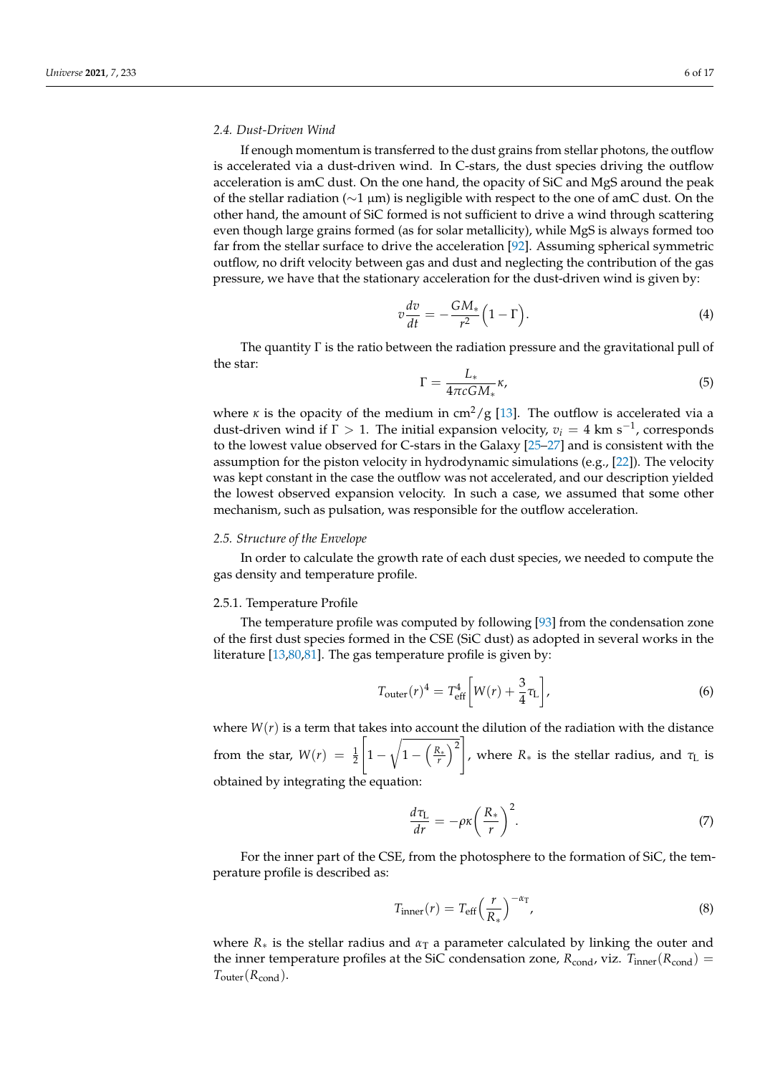## *2.4. Dust-Driven Wind*

If enough momentum is transferred to the dust grains from stellar photons, the outflow is accelerated via a dust-driven wind. In C-stars, the dust species driving the outflow acceleration is amC dust. On the one hand, the opacity of SiC and MgS around the peak of the stellar radiation (∼1 µm) is negligible with respect to the one of amC dust. On the other hand, the amount of SiC formed is not sufficient to drive a wind through scattering even though large grains formed (as for solar metallicity), while MgS is always formed too far from the stellar surface to drive the acceleration [\[92\]](#page-16-14). Assuming spherical symmetric outflow, no drift velocity between gas and dust and neglecting the contribution of the gas pressure, we have that the stationary acceleration for the dust-driven wind is given by:

<span id="page-5-3"></span>
$$
v\frac{dv}{dt} = -\frac{GM_*}{r^2}\Big(1-\Gamma\Big). \tag{4}
$$

The quantity  $\Gamma$  is the ratio between the radiation pressure and the gravitational pull of the star:

$$
\Gamma = \frac{L_*}{4\pi cGM_*} \kappa,\tag{5}
$$

where  $\kappa$  is the opacity of the medium in cm<sup>2</sup>/g [\[13\]](#page-13-9). The outflow is accelerated via a dust-driven wind if  $\Gamma > 1$ . The initial expansion velocity,  $v_i = 4 \text{ km s}^{-1}$ , corresponds to the lowest value observed for C-stars in the Galaxy [\[25–](#page-13-22)[27\]](#page-13-18) and is consistent with the assumption for the piston velocity in hydrodynamic simulations (e.g., [\[22\]](#page-13-21)). The velocity was kept constant in the case the outflow was not accelerated, and our description yielded the lowest observed expansion velocity. In such a case, we assumed that some other mechanism, such as pulsation, was responsible for the outflow acceleration.

## *2.5. Structure of the Envelope*

In order to calculate the growth rate of each dust species, we needed to compute the gas density and temperature profile.

## <span id="page-5-0"></span>2.5.1. Temperature Profile

The temperature profile was computed by following [\[93\]](#page-16-15) from the condensation zone of the first dust species formed in the CSE (SiC dust) as adopted in several works in the literature [\[13,](#page-13-9)[80,](#page-16-3)[81\]](#page-16-4). The gas temperature profile is given by:

<span id="page-5-1"></span>
$$
T_{\text{outer}}(r)^4 = T_{\text{eff}}^4 \left[ W(r) + \frac{3}{4} \tau_{\text{L}} \right],\tag{6}
$$

where  $W(r)$  is a term that takes into account the dilution of the radiation with the distance from the star,  $W(r) = \frac{1}{2}$  $\sqrt{ }$  $\left[1-\sqrt{1-\left(\frac{R_*}{r}\right)^2}\right]$ , where  $R_*$  is the stellar radius, and  $\tau_L$  is obtained by integrating the equation:

$$
\frac{d\tau_{\rm L}}{dr} = -\rho \kappa \left(\frac{R_*}{r}\right)^2. \tag{7}
$$

For the inner part of the CSE, from the photosphere to the formation of SiC, the temperature profile is described as:

<span id="page-5-2"></span>
$$
T_{\text{inner}}(r) = T_{\text{eff}} \left(\frac{r}{R_*}\right)^{-\alpha_{\text{T}}},\tag{8}
$$

where  $R_*$  is the stellar radius and  $\alpha_T$  a parameter calculated by linking the outer and the inner temperature profiles at the SiC condensation zone,  $R_{cond}$ , viz.  $T_{inner}(R_{cond}) =$  $T_{\text{outer}}(R_{\text{cond}})$ .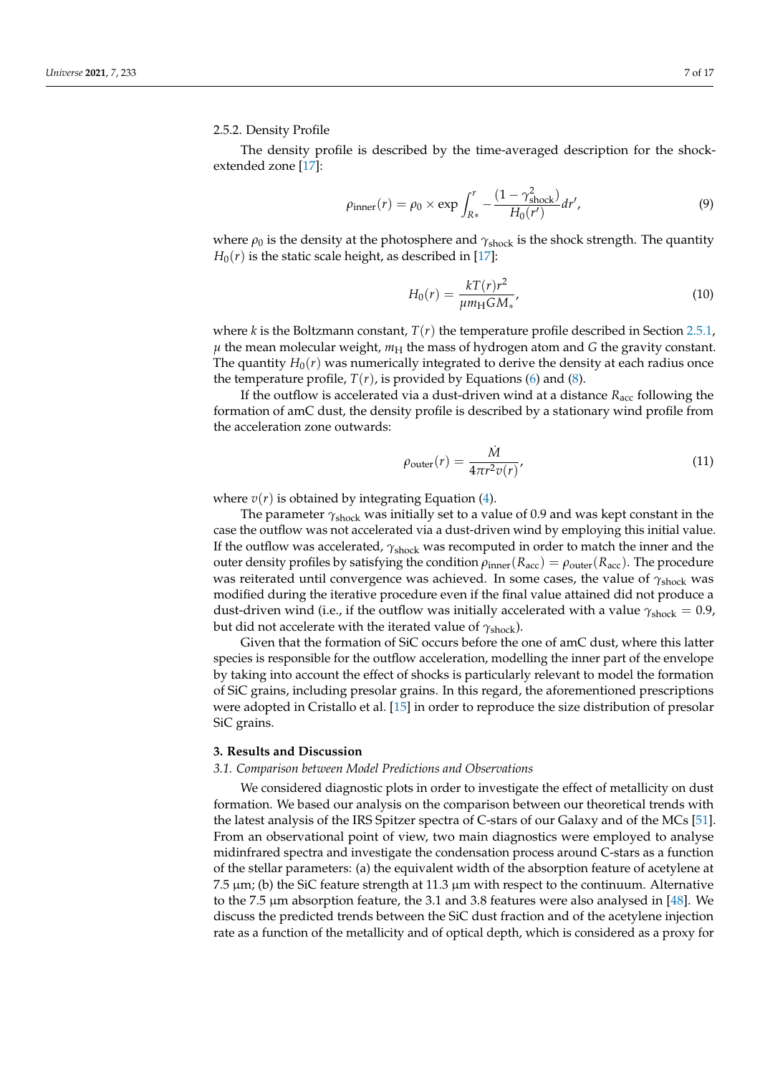The density profile is described by the time-averaged description for the shockextended zone [\[17\]](#page-13-13):

$$
\rho_{\text{inner}}(r) = \rho_0 \times \exp \int_{R*}^r -\frac{(1 - \gamma_{\text{shock}}^2)}{H_0(r')} dr', \tag{9}
$$

where  $\rho_0$  is the density at the photosphere and  $\gamma_{\text{shock}}$  is the shock strength. The quantity  $H_0(r)$  is the static scale height, as described in [\[17\]](#page-13-13):

$$
H_0(r) = \frac{kT(r)r^2}{\mu m_H G M_*},
$$
\t(10)

where *k* is the Boltzmann constant,  $T(r)$  the temperature profile described in Section [2.5.1,](#page-5-0)  $\mu$  the mean molecular weight,  $m_H$  the mass of hydrogen atom and *G* the gravity constant. The quantity  $H_0(r)$  was numerically integrated to derive the density at each radius once the temperature profile,  $T(r)$ , is provided by Equations [\(6\)](#page-5-1) and [\(8\)](#page-5-2).

If the outflow is accelerated via a dust-driven wind at a distance  $R_{\text{acc}}$  following the formation of amC dust, the density profile is described by a stationary wind profile from the acceleration zone outwards:

$$
\rho_{\text{outer}}(r) = \frac{\dot{M}}{4\pi r^2 v(r)},\tag{11}
$$

where  $v(r)$  is obtained by integrating Equation [\(4\)](#page-5-3).

The parameter  $\gamma_{\rm shock}$  was initially set to a value of 0.9 and was kept constant in the case the outflow was not accelerated via a dust-driven wind by employing this initial value. If the outflow was accelerated, *γ*shock was recomputed in order to match the inner and the outer density profiles by satisfying the condition  $\rho_{\text{inner}}(R_{\text{acc}}) = \rho_{\text{outer}}(R_{\text{acc}})$ . The procedure was reiterated until convergence was achieved. In some cases, the value of *γ*shock was modified during the iterative procedure even if the final value attained did not produce a dust-driven wind (i.e., if the outflow was initially accelerated with a value  $\gamma_{\text{shock}} = 0.9$ , but did not accelerate with the iterated value of  $\gamma_{\text{shock}}$ ).

Given that the formation of SiC occurs before the one of amC dust, where this latter species is responsible for the outflow acceleration, modelling the inner part of the envelope by taking into account the effect of shocks is particularly relevant to model the formation of SiC grains, including presolar grains. In this regard, the aforementioned prescriptions were adopted in Cristallo et al. [\[15\]](#page-13-11) in order to reproduce the size distribution of presolar SiC grains.

## **3. Results and Discussion**

#### *3.1. Comparison between Model Predictions and Observations*

We considered diagnostic plots in order to investigate the effect of metallicity on dust formation. We based our analysis on the comparison between our theoretical trends with the latest analysis of the IRS Spitzer spectra of C-stars of our Galaxy and of the MCs [\[51\]](#page-14-11). From an observational point of view, two main diagnostics were employed to analyse midinfrared spectra and investigate the condensation process around C-stars as a function of the stellar parameters: (a) the equivalent width of the absorption feature of acetylene at 7.5  $\mu$ m; (b) the SiC feature strength at 11.3  $\mu$ m with respect to the continuum. Alternative to the 7.5  $\mu$ m absorption feature, the 3.1 and 3.8 features were also analysed in [\[48\]](#page-14-10). We discuss the predicted trends between the SiC dust fraction and of the acetylene injection rate as a function of the metallicity and of optical depth, which is considered as a proxy for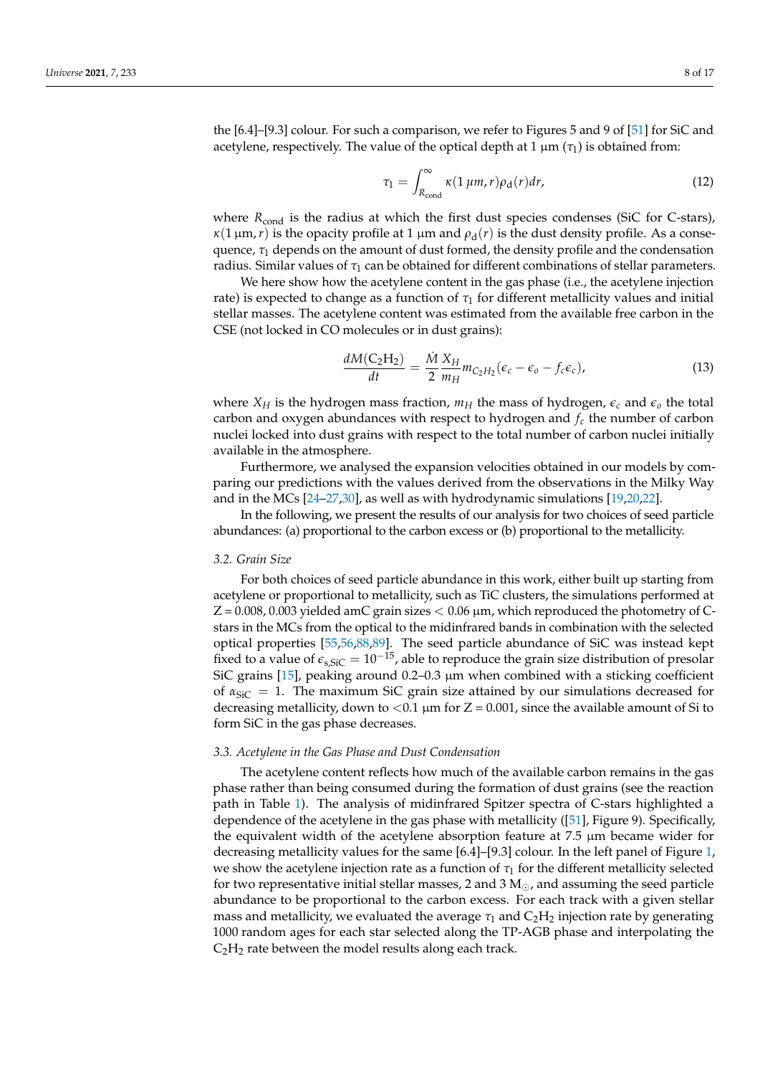<span id="page-7-0"></span>
$$
\tau_1 = \int_{R_{\text{cond}}}^{\infty} \kappa(1 \,\mu m, r) \rho_{\text{d}}(r) dr, \tag{12}
$$

where  $R_{\text{cond}}$  is the radius at which the first dust species condenses (SiC for C-stars),  $\kappa(1 \mu m, r)$  is the opacity profile at 1  $\mu$ m and  $\rho_d(r)$  is the dust density profile. As a consequence, *τ*<sub>1</sub> depends on the amount of dust formed, the density profile and the condensation radius. Similar values of *τ*<sup>1</sup> can be obtained for different combinations of stellar parameters.

We here show how the acetylene content in the gas phase (i.e., the acetylene injection rate) is expected to change as a function of  $\tau_1$  for different metallicity values and initial stellar masses. The acetylene content was estimated from the available free carbon in the CSE (not locked in CO molecules or in dust grains):

$$
\frac{dM(C_2H_2)}{dt} = \frac{\dot{M}}{2} \frac{X_H}{m_H} m_{C_2H_2}(\epsilon_c - \epsilon_o - f_c \epsilon_c),
$$
\n(13)

where  $X_H$  is the hydrogen mass fraction,  $m_H$  the mass of hydrogen,  $\epsilon_c$  and  $\epsilon_o$  the total carbon and oxygen abundances with respect to hydrogen and *f<sup>c</sup>* the number of carbon nuclei locked into dust grains with respect to the total number of carbon nuclei initially available in the atmosphere.

Furthermore, we analysed the expansion velocities obtained in our models by comparing our predictions with the values derived from the observations in the Milky Way and in the MCs [\[24–](#page-13-17)[27,](#page-13-18)[30\]](#page-14-0), as well as with hydrodynamic simulations [\[19,](#page-13-15)[20,](#page-13-23)[22\]](#page-13-21).

In the following, we present the results of our analysis for two choices of seed particle abundances: (a) proportional to the carbon excess or (b) proportional to the metallicity.

## *3.2. Grain Size*

For both choices of seed particle abundance in this work, either built up starting from acetylene or proportional to metallicity, such as TiC clusters, the simulations performed at  $Z = 0.008$ , 0.003 yielded amC grain sizes  $< 0.06$   $\mu$ m, which reproduced the photometry of Cstars in the MCs from the optical to the midinfrared bands in combination with the selected optical properties [\[55](#page-15-8)[,56](#page-15-9)[,88](#page-16-10)[,89\]](#page-16-11). The seed particle abundance of SiC was instead kept fixed to a value of  $\epsilon_{s,SiC} = 10^{-15}$ , able to reproduce the grain size distribution of presolar SiC grains  $[15]$ , peaking around 0.2–0.3  $\mu$ m when combined with a sticking coefficient of  $\alpha_{\rm SiC} = 1$ . The maximum SiC grain size attained by our simulations decreased for decreasing metallicity, down to <0.1  $\mu$ m for Z = 0.001, since the available amount of Si to form SiC in the gas phase decreases.

## *3.3. Acetylene in the Gas Phase and Dust Condensation*

The acetylene content reflects how much of the available carbon remains in the gas phase rather than being consumed during the formation of dust grains (see the reaction path in Table [1\)](#page-3-0). The analysis of midinfrared Spitzer spectra of C-stars highlighted a dependence of the acetylene in the gas phase with metallicity ([\[51\]](#page-14-11), Figure 9). Specifically, the equivalent width of the acetylene absorption feature at 7.5 µm became wider for decreasing metallicity values for the same [6.4]–[9.3] colour. In the left panel of Figure [1,](#page-8-0) we show the acetylene injection rate as a function of  $\tau_1$  for the different metallicity selected for two representative initial stellar masses, 2 and 3  $M_{\odot}$ , and assuming the seed particle abundance to be proportional to the carbon excess. For each track with a given stellar mass and metallicity, we evaluated the average  $\tau_1$  and  $C_2H_2$  injection rate by generating 1000 random ages for each star selected along the TP-AGB phase and interpolating the  $C_2H_2$  rate between the model results along each track.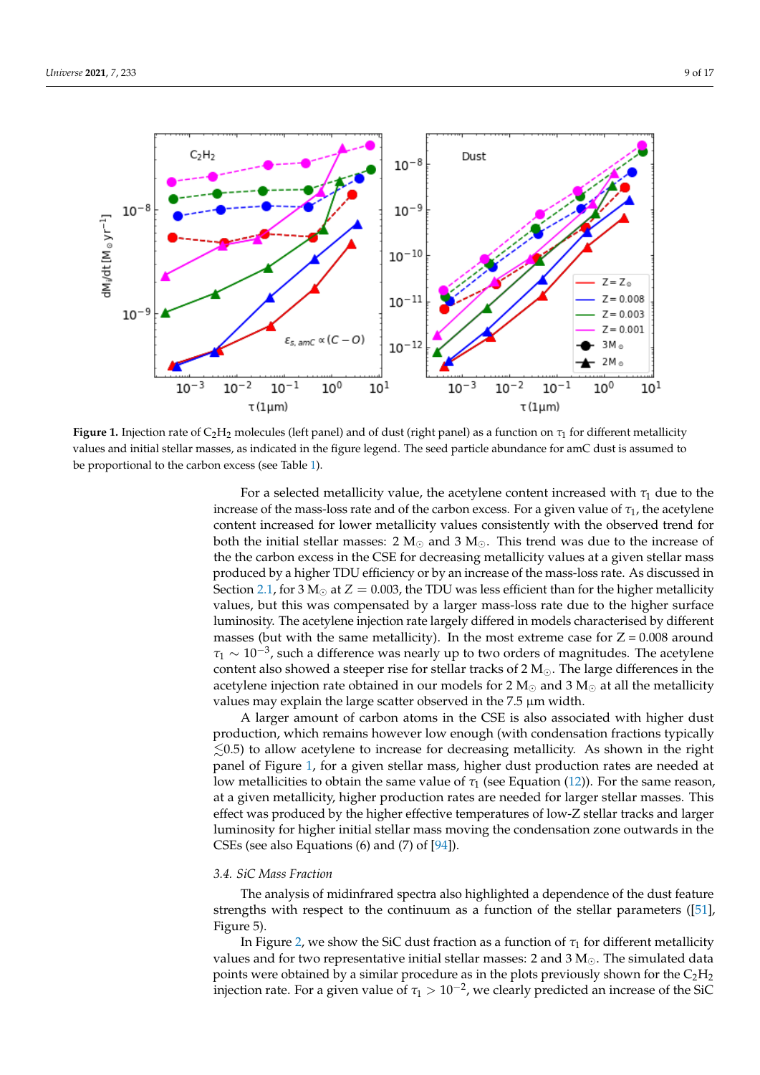<span id="page-8-0"></span>

**Figure 1.** Injection rate of  $C_2H_2$  molecules (left panel) and of dust (right panel) as a function on  $\tau_1$  for different metallicity values and initial stellar masses, as indicated in the figure legend. The seed particle abundance for amC dust is assumed to be proportional to the carbon excess (see Table [1\)](#page-3-0).

For a selected metallicity value, the acetylene content increased with  $\tau_1$  due to the increase of the mass-loss rate and of the carbon excess. For a given value of  $\tau_1$ , the acetylene content increased for lower metallicity values consistently with the observed trend for both the initial stellar masses: 2  $M_{\odot}$  and 3  $M_{\odot}$ . This trend was due to the increase of the the carbon excess in the CSE for decreasing metallicity values at a given stellar mass produced by a higher TDU efficiency or by an increase of the mass-loss rate. As discussed in Section [2.1,](#page-2-0) for 3 M<sub> $\odot$ </sub> at  $Z = 0.003$ , the TDU was less efficient than for the higher metallicity values, but this was compensated by a larger mass-loss rate due to the higher surface luminosity. The acetylene injection rate largely differed in models characterised by different masses (but with the same metallicity). In the most extreme case for  $Z = 0.008$  around *τ*<sup>1</sup> ∼ 10−<sup>3</sup> , such a difference was nearly up to two orders of magnitudes. The acetylene content also showed a steeper rise for stellar tracks of  $2 M_{\odot}$ . The large differences in the acetylene injection rate obtained in our models for 2  $M_{\odot}$  and 3  $M_{\odot}$  at all the metallicity values may explain the large scatter observed in the  $7.5 \mu m$  width.

A larger amount of carbon atoms in the CSE is also associated with higher dust production, which remains however low enough (with condensation fractions typically  $\leq 0.5$ ) to allow acetylene to increase for decreasing metallicity. As shown in the right panel of Figure [1,](#page-8-0) for a given stellar mass, higher dust production rates are needed at low metallicities to obtain the same value of  $\tau_1$  (see Equation [\(12\)](#page-7-0)). For the same reason, at a given metallicity, higher production rates are needed for larger stellar masses. This effect was produced by the higher effective temperatures of low-Z stellar tracks and larger luminosity for higher initial stellar mass moving the condensation zone outwards in the CSEs (see also Equations (6) and (7) of [\[94\]](#page-16-16)).

## *3.4. SiC Mass Fraction*

The analysis of midinfrared spectra also highlighted a dependence of the dust feature strengths with respect to the continuum as a function of the stellar parameters ([\[51\]](#page-14-11), Figure 5).

In Figure [2,](#page-9-0) we show the SiC dust fraction as a function of  $\tau_1$  for different metallicity values and for two representative initial stellar masses: 2 and 3  $M_{\odot}$ . The simulated data points were obtained by a similar procedure as in the plots previously shown for the  $C_2H_2$ injection rate. For a given value of  $\tau_1 > 10^{-2}$ , we clearly predicted an increase of the SiC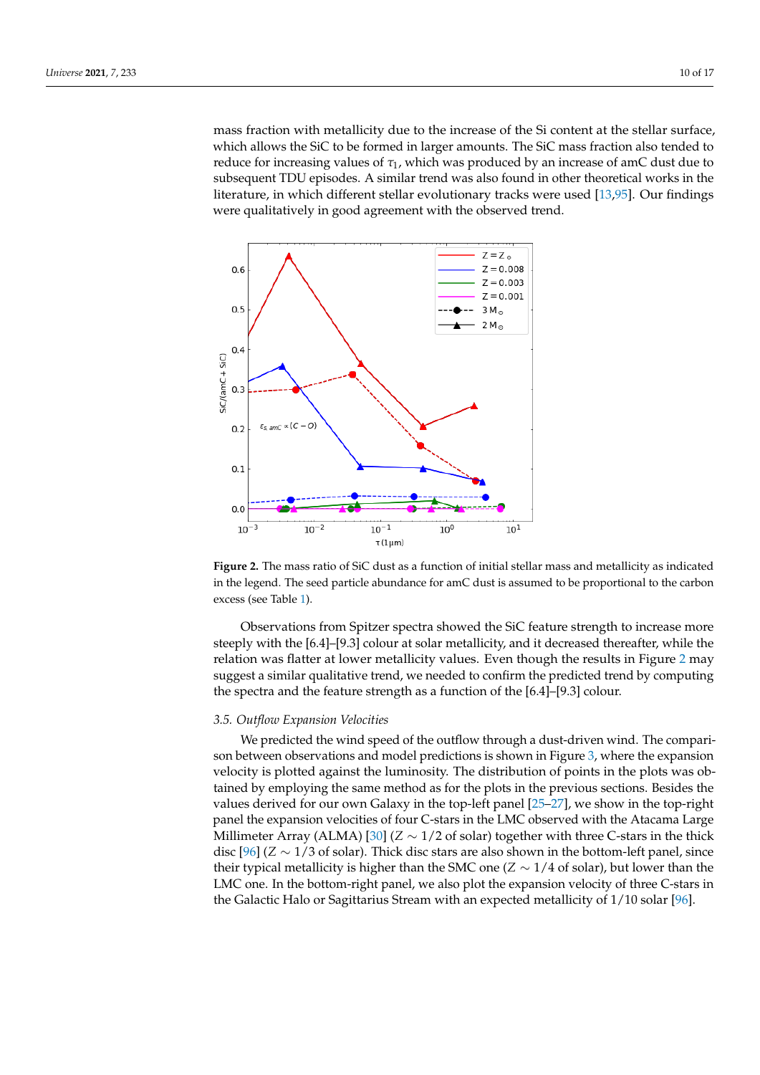mass fraction with metallicity due to the increase of the Si content at the stellar surface, which allows the SiC to be formed in larger amounts. The SiC mass fraction also tended to reduce for increasing values of *τ*1, which was produced by an increase of amC dust due to subsequent TDU episodes. A similar trend was also found in other theoretical works in the literature, in which different stellar evolutionary tracks were used [\[13](#page-13-9)[,95\]](#page-16-17). Our findings were qualitatively in good agreement with the observed trend.

<span id="page-9-0"></span>

**Figure 2.** The mass ratio of SiC dust as a function of initial stellar mass and metallicity as indicated in the legend. The seed particle abundance for amC dust is assumed to be proportional to the carbon excess (see Table [1\)](#page-3-0).

Observations from Spitzer spectra showed the SiC feature strength to increase more steeply with the [6.4]–[9.3] colour at solar metallicity, and it decreased thereafter, while the relation was flatter at lower metallicity values. Even though the results in Figure [2](#page-9-0) may suggest a similar qualitative trend, we needed to confirm the predicted trend by computing the spectra and the feature strength as a function of the [6.4]–[9.3] colour.

## *3.5. Outflow Expansion Velocities*

We predicted the wind speed of the outflow through a dust-driven wind. The comparison between observations and model predictions is shown in Figure [3,](#page-10-0) where the expansion velocity is plotted against the luminosity. The distribution of points in the plots was obtained by employing the same method as for the plots in the previous sections. Besides the values derived for our own Galaxy in the top-left panel [\[25–](#page-13-22)[27\]](#page-13-18), we show in the top-right panel the expansion velocities of four C-stars in the LMC observed with the Atacama Large Millimeter Array (ALMA) [\[30\]](#page-14-0) (*Z* ∼ 1/2 of solar) together with three C-stars in the thick disc [\[96\]](#page-16-18) (*Z* ∼ 1/3 of solar). Thick disc stars are also shown in the bottom-left panel, since their typical metallicity is higher than the SMC one ( $Z \sim 1/4$  of solar), but lower than the LMC one. In the bottom-right panel, we also plot the expansion velocity of three C-stars in the Galactic Halo or Sagittarius Stream with an expected metallicity of 1/10 solar [\[96\]](#page-16-18).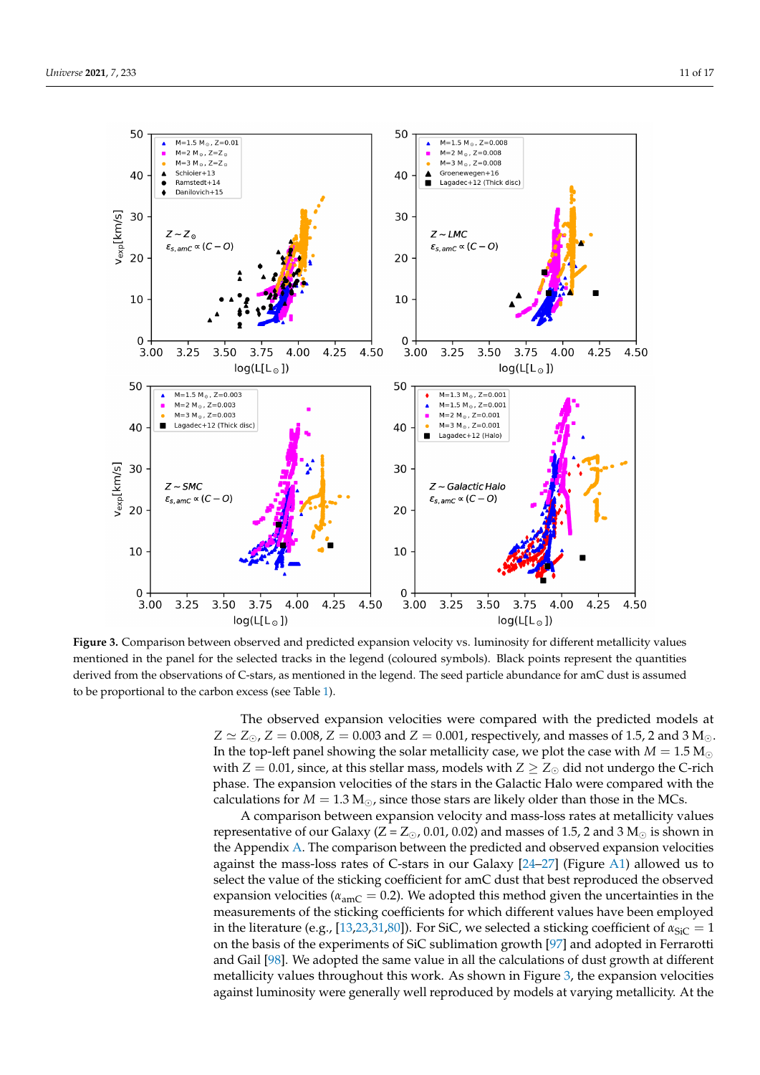<span id="page-10-0"></span>

**Figure 3.** Comparison between observed and predicted expansion velocity vs. luminosity for different metallicity values mentioned in the panel for the selected tracks in the legend (coloured symbols). Black points represent the quantities derived from the observations of C-stars, as mentioned in the legend. The seed particle abundance for amC dust is assumed to be proportional to the carbon excess (see Table [1\)](#page-3-0).

The observed expansion velocities were compared with the predicted models at  $Z \simeq Z_{\odot}$ ,  $Z = 0.008$ ,  $Z = 0.003$  and  $Z = 0.001$ , respectively, and masses of 1.5, 2 and 3 M<sub>o</sub>. In the top-left panel showing the solar metallicity case, we plot the case with  $M = 1.5 M_{\odot}$ with  $Z = 0.01$ , since, at this stellar mass, models with  $Z \geq Z_{\odot}$  did not undergo the C-rich phase. The expansion velocities of the stars in the Galactic Halo were compared with the calculations for  $M = 1.3 M_{\odot}$ , since those stars are likely older than those in the MCs.

A comparison between expansion velocity and mass-loss rates at metallicity values representative of our Galaxy ( $Z = Z_{\odot}$ , 0.01, 0.02) and masses of 1.5, 2 and 3 M<sub> $\odot$ </sub> is shown in the Appendix [A.](#page-12-2) The comparison between the predicted and observed expansion velocities against the mass-loss rates of C-stars in our Galaxy [\[24](#page-13-17)[–27\]](#page-13-18) (Figure [A1\)](#page-12-3) allowed us to select the value of the sticking coefficient for amC dust that best reproduced the observed expansion velocities ( $\alpha_{\text{amC}} = 0.2$ ). We adopted this method given the uncertainties in the measurements of the sticking coefficients for which different values have been employed in the literature (e.g., [\[13,](#page-13-9)[23,](#page-13-16)[31,](#page-14-1)[80\]](#page-16-3)). For SiC, we selected a sticking coefficient of  $\alpha_{\text{SiC}} = 1$ on the basis of the experiments of SiC sublimation growth [\[97\]](#page-16-19) and adopted in Ferrarotti and Gail [\[98\]](#page-16-20). We adopted the same value in all the calculations of dust growth at different metallicity values throughout this work. As shown in Figure [3,](#page-10-0) the expansion velocities against luminosity were generally well reproduced by models at varying metallicity. At the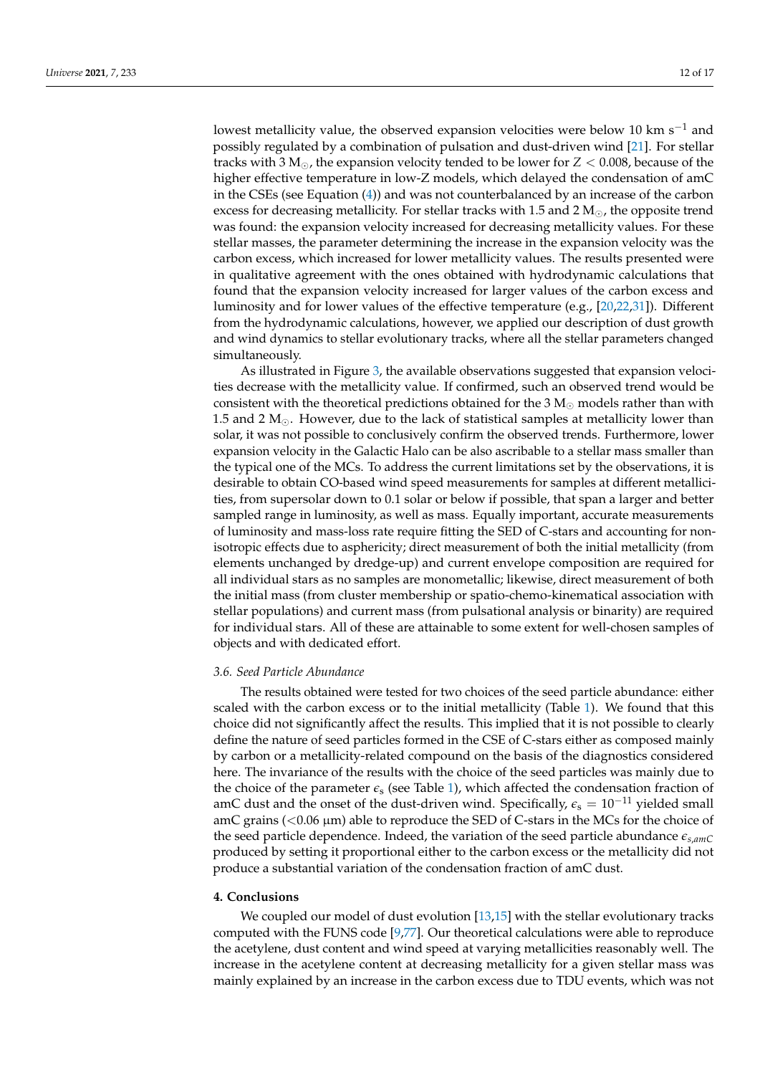lowest metallicity value, the observed expansion velocities were below 10 km s<sup>−1</sup> and possibly regulated by a combination of pulsation and dust-driven wind [\[21\]](#page-13-24). For stellar tracks with 3  $M_{\odot}$ , the expansion velocity tended to be lower for  $Z < 0.008$ , because of the higher effective temperature in low-Z models, which delayed the condensation of amC in the CSEs (see Equation [\(4\)](#page-5-3)) and was not counterbalanced by an increase of the carbon excess for decreasing metallicity. For stellar tracks with 1.5 and 2  $M_{\odot}$ , the opposite trend was found: the expansion velocity increased for decreasing metallicity values. For these stellar masses, the parameter determining the increase in the expansion velocity was the carbon excess, which increased for lower metallicity values. The results presented were in qualitative agreement with the ones obtained with hydrodynamic calculations that found that the expansion velocity increased for larger values of the carbon excess and luminosity and for lower values of the effective temperature (e.g., [\[20,](#page-13-23)[22,](#page-13-21)[31\]](#page-14-1)). Different from the hydrodynamic calculations, however, we applied our description of dust growth and wind dynamics to stellar evolutionary tracks, where all the stellar parameters changed simultaneously.

As illustrated in Figure [3,](#page-10-0) the available observations suggested that expansion velocities decrease with the metallicity value. If confirmed, such an observed trend would be consistent with the theoretical predictions obtained for the 3  $M_{\odot}$  models rather than with 1.5 and 2  $M_{\odot}$ . However, due to the lack of statistical samples at metallicity lower than solar, it was not possible to conclusively confirm the observed trends. Furthermore, lower expansion velocity in the Galactic Halo can be also ascribable to a stellar mass smaller than the typical one of the MCs. To address the current limitations set by the observations, it is desirable to obtain CO-based wind speed measurements for samples at different metallicities, from supersolar down to 0.1 solar or below if possible, that span a larger and better sampled range in luminosity, as well as mass. Equally important, accurate measurements of luminosity and mass-loss rate require fitting the SED of C-stars and accounting for nonisotropic effects due to asphericity; direct measurement of both the initial metallicity (from elements unchanged by dredge-up) and current envelope composition are required for all individual stars as no samples are monometallic; likewise, direct measurement of both the initial mass (from cluster membership or spatio-chemo-kinematical association with stellar populations) and current mass (from pulsational analysis or binarity) are required for individual stars. All of these are attainable to some extent for well-chosen samples of objects and with dedicated effort.

## *3.6. Seed Particle Abundance*

The results obtained were tested for two choices of the seed particle abundance: either scaled with the carbon excess or to the initial metallicity (Table [1\)](#page-3-0). We found that this choice did not significantly affect the results. This implied that it is not possible to clearly define the nature of seed particles formed in the CSE of C-stars either as composed mainly by carbon or a metallicity-related compound on the basis of the diagnostics considered here. The invariance of the results with the choice of the seed particles was mainly due to the choice of the parameter  $\epsilon_s$  (see Table [1\)](#page-3-0), which affected the condensation fraction of amC dust and the onset of the dust-driven wind. Specifically,  $\epsilon_s = 10^{-11}$  yielded small amC grains  $(<0.06 \mu m$ ) able to reproduce the SED of C-stars in the MCs for the choice of the seed particle dependence. Indeed, the variation of the seed particle abundance  $\epsilon_{s, amC}$ produced by setting it proportional either to the carbon excess or the metallicity did not produce a substantial variation of the condensation fraction of amC dust.

## **4. Conclusions**

We coupled our model of dust evolution [\[13](#page-13-9)[,15\]](#page-13-11) with the stellar evolutionary tracks computed with the FUNS code [\[9](#page-13-5)[,77\]](#page-16-1). Our theoretical calculations were able to reproduce the acetylene, dust content and wind speed at varying metallicities reasonably well. The increase in the acetylene content at decreasing metallicity for a given stellar mass was mainly explained by an increase in the carbon excess due to TDU events, which was not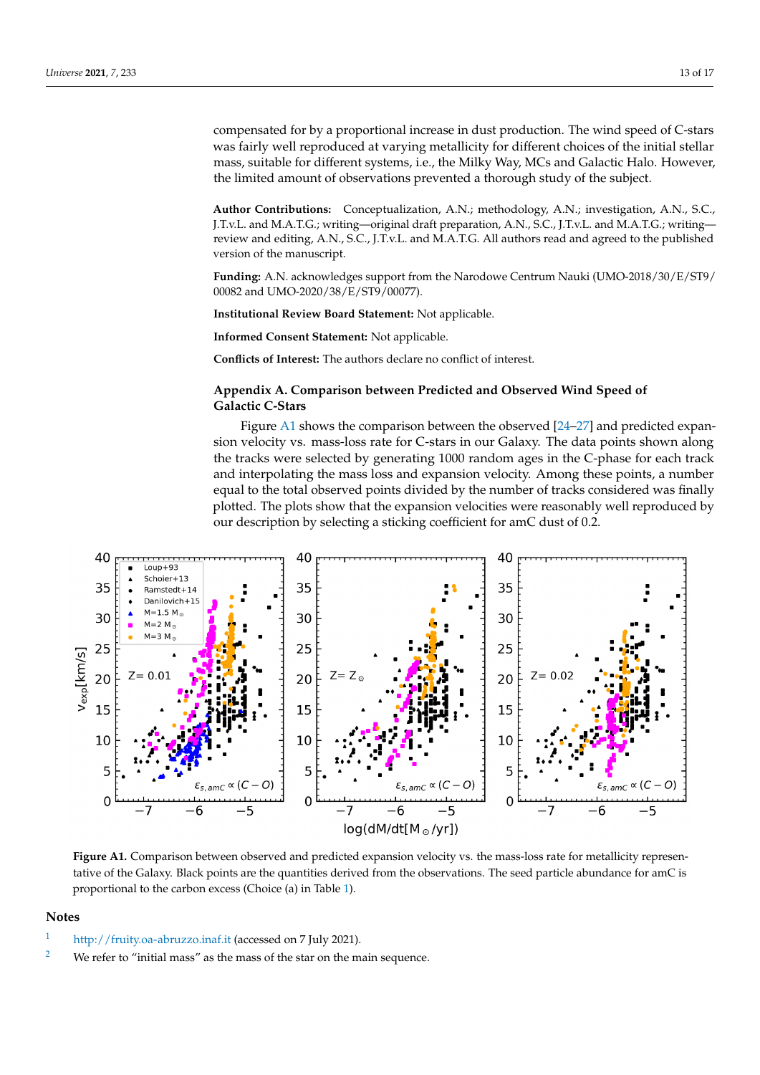compensated for by a proportional increase in dust production. The wind speed of C-stars was fairly well reproduced at varying metallicity for different choices of the initial stellar mass, suitable for different systems, i.e., the Milky Way, MCs and Galactic Halo. However, the limited amount of observations prevented a thorough study of the subject.

**Author Contributions:** Conceptualization, A.N.; methodology, A.N.; investigation, A.N., S.C., J.T.v.L. and M.A.T.G.; writing—original draft preparation, A.N., S.C., J.T.v.L. and M.A.T.G.; writing review and editing, A.N., S.C., J.T.v.L. and M.A.T.G. All authors read and agreed to the published version of the manuscript.

**Funding:** A.N. acknowledges support from the Narodowe Centrum Nauki (UMO-2018/30/E/ST9/ 00082 and UMO-2020/38/E/ST9/00077).

**Institutional Review Board Statement:** Not applicable.

**Informed Consent Statement:** Not applicable.

**Conflicts of Interest:** The authors declare no conflict of interest.

# <span id="page-12-2"></span>**Appendix A. Comparison between Predicted and Observed Wind Speed of Galactic C-Stars**

Figure [A1](#page-12-3) shows the comparison between the observed [\[24–](#page-13-17)[27\]](#page-13-18) and predicted expansion velocity vs. mass-loss rate for C-stars in our Galaxy. The data points shown along the tracks were selected by generating 1000 random ages in the C-phase for each track and interpolating the mass loss and expansion velocity. Among these points, a number equal to the total observed points divided by the number of tracks considered was finally plotted. The plots show that the expansion velocities were reasonably well reproduced by our description by selecting a sticking coefficient for amC dust of 0.2.

<span id="page-12-3"></span>

**Figure A1.** Comparison between observed and predicted expansion velocity vs. the mass-loss rate for metallicity representative of the Galaxy. Black points are the quantities derived from the observations. The seed particle abundance for amC is proportional to the carbon excess (Choice (a) in Table [1\)](#page-3-0).

## **Notes**

- <span id="page-12-0"></span>http://fruity.oa-abruzzo.inaf.it (accessed on 7 July 202[1](#page-2-1)).
- <span id="page-12-1"></span><sup>[2](#page-2-2)</sup> We refer to "initial mass" as the mass of the star on the main sequence.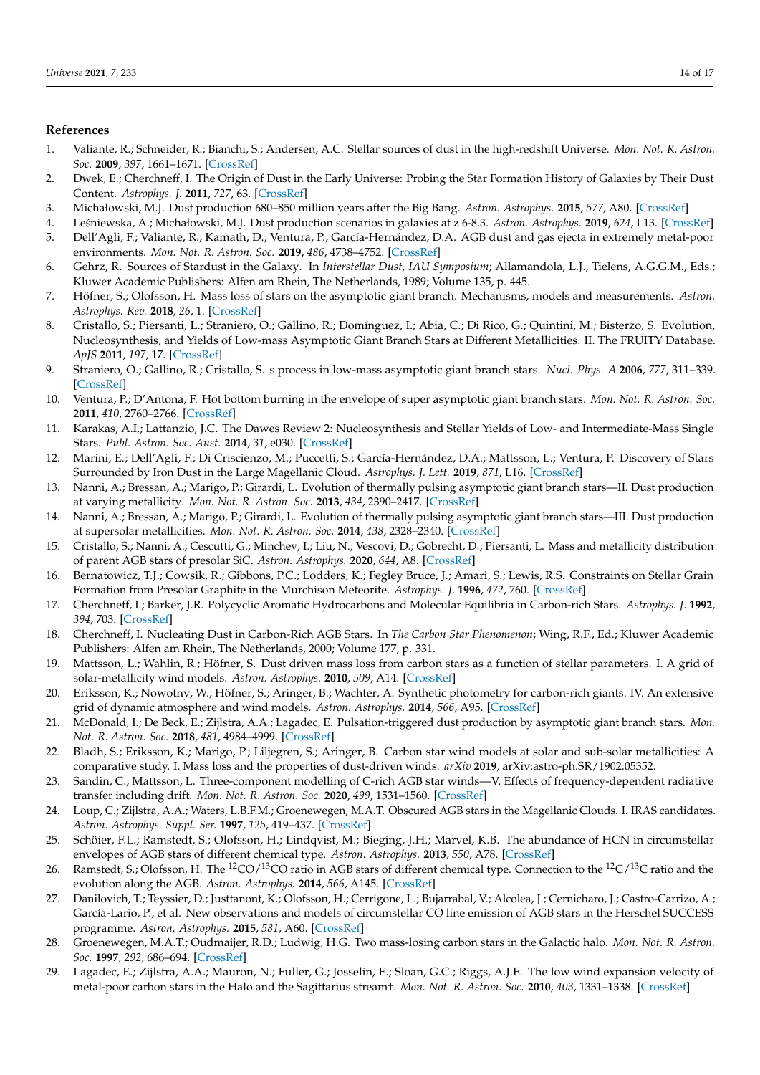## **References**

- <span id="page-13-0"></span>1. Valiante, R.; Schneider, R.; Bianchi, S.; Andersen, A.C. Stellar sources of dust in the high-redshift Universe. *Mon. Not. R. Astron. Soc.* **2009**, *397*, 1661–1671. [\[CrossRef\]](http://doi.org/10.1111/j.1365-2966.2009.15076.x)
- 2. Dwek, E.; Cherchneff, I. The Origin of Dust in the Early Universe: Probing the Star Formation History of Galaxies by Their Dust Content. *Astrophys. J.* **2011**, *727*, 63. [\[CrossRef\]](http://dx.doi.org/10.1088/0004-637X/727/2/63)
- 3. Michałowski, M.J. Dust production 680–850 million years after the Big Bang. *Astron. Astrophys.* **2015**, *577*, A80. [\[CrossRef\]](http://dx.doi.org/10.1051/0004-6361/201525644)
- 4. Le´sniewska, A.; Michałowski, M.J. Dust production scenarios in galaxies at z 6-8.3. *Astron. Astrophys.* **2019**, *624*, L13. [\[CrossRef\]](http://dx.doi.org/10.1051/0004-6361/201935149)
- <span id="page-13-1"></span>5. Dell'Agli, F.; Valiante, R.; Kamath, D.; Ventura, P.; García-Hernández, D.A. AGB dust and gas ejecta in extremely metal-poor environments. *Mon. Not. R. Astron. Soc.* **2019**, *486*, 4738–4752. [\[CrossRef\]](http://dx.doi.org/10.1093/mnras/stz1164)
- <span id="page-13-2"></span>6. Gehrz, R. Sources of Stardust in the Galaxy. In *Interstellar Dust, IAU Symposium*; Allamandola, L.J., Tielens, A.G.G.M., Eds.; Kluwer Academic Publishers: Alfen am Rhein, The Netherlands, 1989; Volume 135, p. 445.
- <span id="page-13-3"></span>7. Höfner, S.; Olofsson, H. Mass loss of stars on the asymptotic giant branch. Mechanisms, models and measurements. *Astron. Astrophys. Rev.* **2018**, *26*, 1. [\[CrossRef\]](http://dx.doi.org/10.1007/s00159-017-0106-5)
- <span id="page-13-4"></span>8. Cristallo, S.; Piersanti, L.; Straniero, O.; Gallino, R.; Domínguez, I.; Abia, C.; Di Rico, G.; Quintini, M.; Bisterzo, S. Evolution, Nucleosynthesis, and Yields of Low-mass Asymptotic Giant Branch Stars at Different Metallicities. II. The FRUITY Database. *ApJS* **2011**, *197*, 17. [\[CrossRef\]](http://dx.doi.org/10.1088/0067-0049/197/2/17)
- <span id="page-13-5"></span>9. Straniero, O.; Gallino, R.; Cristallo, S. s process in low-mass asymptotic giant branch stars. *Nucl. Phys. A* **2006**, *777*, 311–339. [\[CrossRef\]](http://dx.doi.org/10.1016/j.nuclphysa.2005.01.011)
- <span id="page-13-6"></span>10. Ventura, P.; D'Antona, F. Hot bottom burning in the envelope of super asymptotic giant branch stars. *Mon. Not. R. Astron. Soc.* **2011**, *410*, 2760–2766. [\[CrossRef\]](http://dx.doi.org/10.1111/j.1365-2966.2010.17651.x)
- <span id="page-13-7"></span>11. Karakas, A.I.; Lattanzio, J.C. The Dawes Review 2: Nucleosynthesis and Stellar Yields of Low- and Intermediate-Mass Single Stars. *Publ. Astron. Soc. Aust.* **2014**, *31*, e030. [\[CrossRef\]](http://dx.doi.org/10.1017/pasa.2014.21)
- <span id="page-13-8"></span>12. Marini, E.; Dell'Agli, F.; Di Criscienzo, M.; Puccetti, S.; García-Hernández, D.A.; Mattsson, L.; Ventura, P. Discovery of Stars Surrounded by Iron Dust in the Large Magellanic Cloud. *Astrophys. J. Lett.* **2019**, *871*, L16. [\[CrossRef\]](http://dx.doi.org/10.3847/2041-8213/aafdb0)
- <span id="page-13-9"></span>13. Nanni, A.; Bressan, A.; Marigo, P.; Girardi, L. Evolution of thermally pulsing asymptotic giant branch stars—II. Dust production at varying metallicity. *Mon. Not. R. Astron. Soc.* **2013**, *434*, 2390–2417. [\[CrossRef\]](http://dx.doi.org/10.1093/mnras/stt1175)
- <span id="page-13-10"></span>14. Nanni, A.; Bressan, A.; Marigo, P.; Girardi, L. Evolution of thermally pulsing asymptotic giant branch stars—III. Dust production at supersolar metallicities. *Mon. Not. R. Astron. Soc.* **2014**, *438*, 2328–2340. [\[CrossRef\]](http://dx.doi.org/10.1093/mnras/stt2348)
- <span id="page-13-11"></span>15. Cristallo, S.; Nanni, A.; Cescutti, G.; Minchev, I.; Liu, N.; Vescovi, D.; Gobrecht, D.; Piersanti, L. Mass and metallicity distribution of parent AGB stars of presolar SiC. *Astron. Astrophys.* **2020**, *644*, A8. [\[CrossRef\]](http://dx.doi.org/10.1051/0004-6361/202039492)
- <span id="page-13-12"></span>16. Bernatowicz, T.J.; Cowsik, R.; Gibbons, P.C.; Lodders, K.; Fegley Bruce, J.; Amari, S.; Lewis, R.S. Constraints on Stellar Grain Formation from Presolar Graphite in the Murchison Meteorite. *Astrophys. J.* **1996**, *472*, 760. [\[CrossRef\]](http://dx.doi.org/10.1086/178105)
- <span id="page-13-13"></span>17. Cherchneff, I.; Barker, J.R. Polycyclic Aromatic Hydrocarbons and Molecular Equilibria in Carbon-rich Stars. *Astrophys. J.* **1992**, *394*, 703. [\[CrossRef\]](http://dx.doi.org/10.1086/171624)
- <span id="page-13-14"></span>18. Cherchneff, I. Nucleating Dust in Carbon-Rich AGB Stars. In *The Carbon Star Phenomenon*; Wing, R.F., Ed.; Kluwer Academic Publishers: Alfen am Rhein, The Netherlands, 2000; Volume 177, p. 331.
- <span id="page-13-15"></span>19. Mattsson, L.; Wahlin, R.; Höfner, S. Dust driven mass loss from carbon stars as a function of stellar parameters. I. A grid of solar-metallicity wind models. *Astron. Astrophys.* **2010**, *509*, A14. [\[CrossRef\]](http://dx.doi.org/10.1051/0004-6361/200912084)
- <span id="page-13-23"></span>20. Eriksson, K.; Nowotny, W.; Höfner, S.; Aringer, B.; Wachter, A. Synthetic photometry for carbon-rich giants. IV. An extensive grid of dynamic atmosphere and wind models. *Astron. Astrophys.* **2014**, *566*, A95. [\[CrossRef\]](http://dx.doi.org/10.1051/0004-6361/201323241)
- <span id="page-13-24"></span>21. McDonald, I.; De Beck, E.; Zijlstra, A.A.; Lagadec, E. Pulsation-triggered dust production by asymptotic giant branch stars. *Mon. Not. R. Astron. Soc.* **2018**, *481*, 4984–4999. [\[CrossRef\]](http://dx.doi.org/10.1093/mnras/sty2607)
- <span id="page-13-21"></span>22. Bladh, S.; Eriksson, K.; Marigo, P.; Liljegren, S.; Aringer, B. Carbon star wind models at solar and sub-solar metallicities: A comparative study. I. Mass loss and the properties of dust-driven winds. *arXiv* **2019**, arXiv:astro-ph.SR/1902.05352.
- <span id="page-13-16"></span>23. Sandin, C.; Mattsson, L. Three-component modelling of C-rich AGB star winds—V. Effects of frequency-dependent radiative transfer including drift. *Mon. Not. R. Astron. Soc.* **2020**, *499*, 1531–1560. [\[CrossRef\]](http://dx.doi.org/10.1093/mnras/staa2714)
- <span id="page-13-17"></span>24. Loup, C.; Zijlstra, A.A.; Waters, L.B.F.M.; Groenewegen, M.A.T. Obscured AGB stars in the Magellanic Clouds. I. IRAS candidates. *Astron. Astrophys. Suppl. Ser.* **1997**, *125*, 419–437. [\[CrossRef\]](http://dx.doi.org/10.1051/aas:1997377)
- <span id="page-13-22"></span>25. Schöier, F.L.; Ramstedt, S.; Olofsson, H.; Lindqvist, M.; Bieging, J.H.; Marvel, K.B. The abundance of HCN in circumstellar envelopes of AGB stars of different chemical type. *Astron. Astrophys.* **2013**, *550*, A78. [\[CrossRef\]](http://dx.doi.org/10.1051/0004-6361/201220400)
- 26. Ramstedt, S.; Olofsson, H. The <sup>12</sup>CO/<sup>13</sup>CO ratio in AGB stars of different chemical type. Connection to the <sup>12</sup>C/<sup>13</sup>C ratio and the evolution along the AGB. *Astron. Astrophys.* **2014**, *566*, A145. [\[CrossRef\]](http://dx.doi.org/10.1051/0004-6361/201423721)
- <span id="page-13-18"></span>27. Danilovich, T.; Teyssier, D.; Justtanont, K.; Olofsson, H.; Cerrigone, L.; Bujarrabal, V.; Alcolea, J.; Cernicharo, J.; Castro-Carrizo, A.; García-Lario, P.; et al. New observations and models of circumstellar CO line emission of AGB stars in the Herschel SUCCESS programme. *Astron. Astrophys.* **2015**, *581*, A60. [\[CrossRef\]](http://dx.doi.org/10.1051/0004-6361/201526705)
- <span id="page-13-19"></span>28. Groenewegen, M.A.T.; Oudmaijer, R.D.; Ludwig, H.G. Two mass-losing carbon stars in the Galactic halo. *Mon. Not. R. Astron. Soc.* **1997**, *292*, 686–694. [\[CrossRef\]](http://dx.doi.org/10.1093/mnras/292.3.686)
- <span id="page-13-20"></span>29. Lagadec, E.; Zijlstra, A.A.; Mauron, N.; Fuller, G.; Josselin, E.; Sloan, G.C.; Riggs, A.J.E. The low wind expansion velocity of metal-poor carbon stars in the Halo and the Sagittarius stream†. *Mon. Not. R. Astron. Soc.* **2010**, *403*, 1331–1338. [\[CrossRef\]](http://dx.doi.org/10.1111/j.1365-2966.2009.16088.x)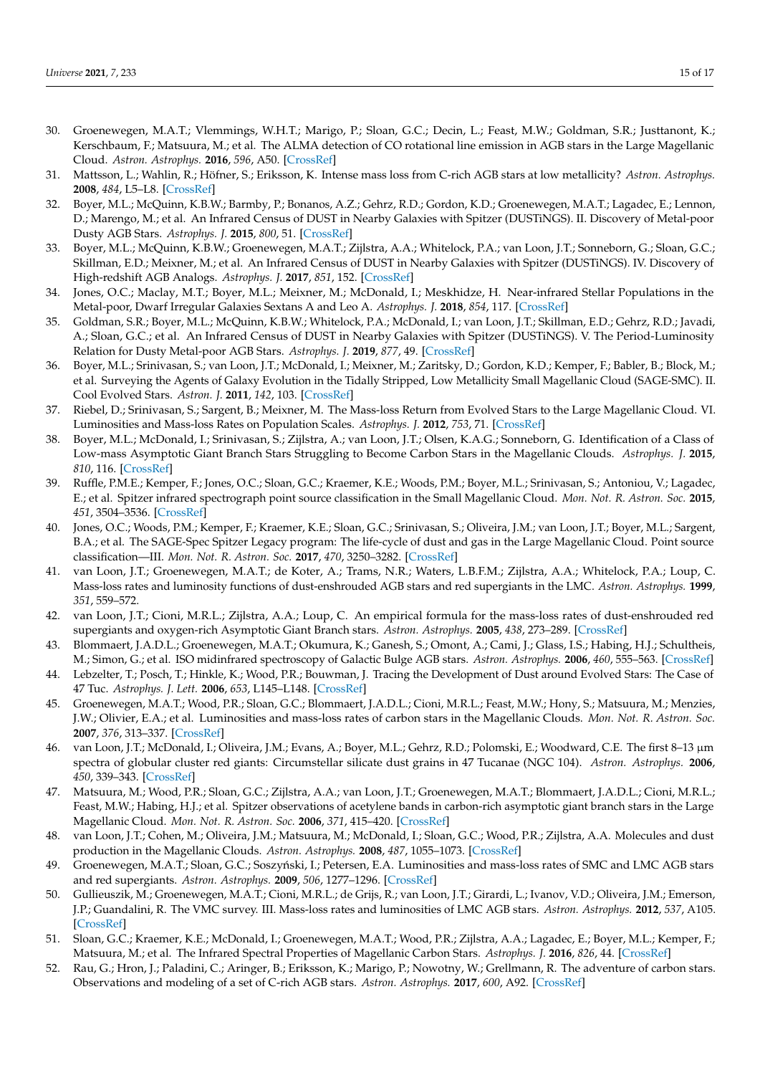- <span id="page-14-0"></span>30. Groenewegen, M.A.T.; Vlemmings, W.H.T.; Marigo, P.; Sloan, G.C.; Decin, L.; Feast, M.W.; Goldman, S.R.; Justtanont, K.; Kerschbaum, F.; Matsuura, M.; et al. The ALMA detection of CO rotational line emission in AGB stars in the Large Magellanic Cloud. *Astron. Astrophys.* **2016**, *596*, A50. [\[CrossRef\]](http://dx.doi.org/10.1051/0004-6361/201629590)
- <span id="page-14-1"></span>31. Mattsson, L.; Wahlin, R.; Höfner, S.; Eriksson, K. Intense mass loss from C-rich AGB stars at low metallicity? *Astron. Astrophys.* **2008**, *484*, L5–L8. [\[CrossRef\]](http://dx.doi.org/10.1051/0004-6361:200809689)
- <span id="page-14-2"></span>32. Boyer, M.L.; McQuinn, K.B.W.; Barmby, P.; Bonanos, A.Z.; Gehrz, R.D.; Gordon, K.D.; Groenewegen, M.A.T.; Lagadec, E.; Lennon, D.; Marengo, M.; et al. An Infrared Census of DUST in Nearby Galaxies with Spitzer (DUSTiNGS). II. Discovery of Metal-poor Dusty AGB Stars. *Astrophys. J.* **2015**, *800*, 51. [\[CrossRef\]](http://dx.doi.org/10.1088/0004-637X/800/1/51)
- <span id="page-14-12"></span>33. Boyer, M.L.; McQuinn, K.B.W.; Groenewegen, M.A.T.; Zijlstra, A.A.; Whitelock, P.A.; van Loon, J.T.; Sonneborn, G.; Sloan, G.C.; Skillman, E.D.; Meixner, M.; et al. An Infrared Census of DUST in Nearby Galaxies with Spitzer (DUSTiNGS). IV. Discovery of High-redshift AGB Analogs. *Astrophys. J.* **2017**, *851*, 152. [\[CrossRef\]](http://dx.doi.org/10.3847/1538-4357/aa9892)
- 34. Jones, O.C.; Maclay, M.T.; Boyer, M.L.; Meixner, M.; McDonald, I.; Meskhidze, H. Near-infrared Stellar Populations in the Metal-poor, Dwarf Irregular Galaxies Sextans A and Leo A. *Astrophys. J.* **2018**, *854*, 117. [\[CrossRef\]](http://dx.doi.org/10.3847/1538-4357/aaa542)
- <span id="page-14-3"></span>35. Goldman, S.R.; Boyer, M.L.; McQuinn, K.B.W.; Whitelock, P.A.; McDonald, I.; van Loon, J.T.; Skillman, E.D.; Gehrz, R.D.; Javadi, A.; Sloan, G.C.; et al. An Infrared Census of DUST in Nearby Galaxies with Spitzer (DUSTiNGS). V. The Period-Luminosity Relation for Dusty Metal-poor AGB Stars. *Astrophys. J.* **2019**, *877*, 49. [\[CrossRef\]](http://dx.doi.org/10.3847/1538-4357/ab0965)
- <span id="page-14-4"></span>36. Boyer, M.L.; Srinivasan, S.; van Loon, J.T.; McDonald, I.; Meixner, M.; Zaritsky, D.; Gordon, K.D.; Kemper, F.; Babler, B.; Block, M.; et al. Surveying the Agents of Galaxy Evolution in the Tidally Stripped, Low Metallicity Small Magellanic Cloud (SAGE-SMC). II. Cool Evolved Stars. *Astron. J.* **2011**, *142*, 103. [\[CrossRef\]](http://dx.doi.org/10.1088/0004-6256/142/4/103)
- <span id="page-14-5"></span>37. Riebel, D.; Srinivasan, S.; Sargent, B.; Meixner, M. The Mass-loss Return from Evolved Stars to the Large Magellanic Cloud. VI. Luminosities and Mass-loss Rates on Population Scales. *Astrophys. J.* **2012**, *753*, 71. [\[CrossRef\]](http://dx.doi.org/10.1088/0004-637X/753/1/71)
- <span id="page-14-6"></span>38. Boyer, M.L.; McDonald, I.; Srinivasan, S.; Zijlstra, A.; van Loon, J.T.; Olsen, K.A.G.; Sonneborn, G. Identification of a Class of Low-mass Asymptotic Giant Branch Stars Struggling to Become Carbon Stars in the Magellanic Clouds. *Astrophys. J.* **2015**, *810*, 116. [\[CrossRef\]](http://dx.doi.org/10.1088/0004-637X/810/2/116)
- 39. Ruffle, P.M.E.; Kemper, F.; Jones, O.C.; Sloan, G.C.; Kraemer, K.E.; Woods, P.M.; Boyer, M.L.; Srinivasan, S.; Antoniou, V.; Lagadec, E.; et al. Spitzer infrared spectrograph point source classification in the Small Magellanic Cloud. *Mon. Not. R. Astron. Soc.* **2015**, *451*, 3504–3536. [\[CrossRef\]](http://dx.doi.org/10.1093/mnras/stv1106)
- <span id="page-14-7"></span>40. Jones, O.C.; Woods, P.M.; Kemper, F.; Kraemer, K.E.; Sloan, G.C.; Srinivasan, S.; Oliveira, J.M.; van Loon, J.T.; Boyer, M.L.; Sargent, B.A.; et al. The SAGE-Spec Spitzer Legacy program: The life-cycle of dust and gas in the Large Magellanic Cloud. Point source classification—III. *Mon. Not. R. Astron. Soc.* **2017**, *470*, 3250–3282. [\[CrossRef\]](http://dx.doi.org/10.1093/mnras/stx1101)
- <span id="page-14-8"></span>41. van Loon, J.T.; Groenewegen, M.A.T.; de Koter, A.; Trams, N.R.; Waters, L.B.F.M.; Zijlstra, A.A.; Whitelock, P.A.; Loup, C. Mass-loss rates and luminosity functions of dust-enshrouded AGB stars and red supergiants in the LMC. *Astron. Astrophys.* **1999**, *351*, 559–572.
- 42. van Loon, J.T.; Cioni, M.R.L.; Zijlstra, A.A.; Loup, C. An empirical formula for the mass-loss rates of dust-enshrouded red supergiants and oxygen-rich Asymptotic Giant Branch stars. *Astron. Astrophys.* **2005**, *438*, 273–289. [\[CrossRef\]](http://dx.doi.org/10.1051/0004-6361:20042555)
- 43. Blommaert, J.A.D.L.; Groenewegen, M.A.T.; Okumura, K.; Ganesh, S.; Omont, A.; Cami, J.; Glass, I.S.; Habing, H.J.; Schultheis, M.; Simon, G.; et al. ISO midinfrared spectroscopy of Galactic Bulge AGB stars. *Astron. Astrophys.* **2006**, *460*, 555–563. [\[CrossRef\]](http://dx.doi.org/10.1051/0004-6361:20066145)
- 44. Lebzelter, T.; Posch, T.; Hinkle, K.; Wood, P.R.; Bouwman, J. Tracing the Development of Dust around Evolved Stars: The Case of 47 Tuc. *Astrophys. J. Lett.* **2006**, *653*, L145–L148. [\[CrossRef\]](http://dx.doi.org/10.1086/510525)
- 45. Groenewegen, M.A.T.; Wood, P.R.; Sloan, G.C.; Blommaert, J.A.D.L.; Cioni, M.R.L.; Feast, M.W.; Hony, S.; Matsuura, M.; Menzies, J.W.; Olivier, E.A.; et al. Luminosities and mass-loss rates of carbon stars in the Magellanic Clouds. *Mon. Not. R. Astron. Soc.* **2007**, *376*, 313–337. [\[CrossRef\]](http://dx.doi.org/10.1111/j.1365-2966.2007.11428.x)
- 46. van Loon, J.T.; McDonald, I.; Oliveira, J.M.; Evans, A.; Boyer, M.L.; Gehrz, R.D.; Polomski, E.; Woodward, C.E. The first 8–13 µm spectra of globular cluster red giants: Circumstellar silicate dust grains in 47 Tucanae (NGC 104). *Astron. Astrophys.* **2006**, *450*, 339–343. [\[CrossRef\]](http://dx.doi.org/10.1051/0004-6361:20054702)
- <span id="page-14-9"></span>47. Matsuura, M.; Wood, P.R.; Sloan, G.C.; Zijlstra, A.A.; van Loon, J.T.; Groenewegen, M.A.T.; Blommaert, J.A.D.L.; Cioni, M.R.L.; Feast, M.W.; Habing, H.J.; et al. Spitzer observations of acetylene bands in carbon-rich asymptotic giant branch stars in the Large Magellanic Cloud. *Mon. Not. R. Astron. Soc.* **2006**, *371*, 415–420. [\[CrossRef\]](http://dx.doi.org/10.1111/j.1365-2966.2006.10664.x)
- <span id="page-14-10"></span>48. van Loon, J.T.; Cohen, M.; Oliveira, J.M.; Matsuura, M.; McDonald, I.; Sloan, G.C.; Wood, P.R.; Zijlstra, A.A. Molecules and dust production in the Magellanic Clouds. *Astron. Astrophys.* **2008**, *487*, 1055–1073. [\[CrossRef\]](http://dx.doi.org/10.1051/0004-6361:200810036)
- 49. Groenewegen, M.A.T.; Sloan, G.C.; Soszyński, I.; Petersen, E.A. Luminosities and mass-loss rates of SMC and LMC AGB stars and red supergiants. *Astron. Astrophys.* **2009**, *506*, 1277–1296. [\[CrossRef\]](http://dx.doi.org/10.1051/0004-6361/200912678)
- 50. Gullieuszik, M.; Groenewegen, M.A.T.; Cioni, M.R.L.; de Grijs, R.; van Loon, J.T.; Girardi, L.; Ivanov, V.D.; Oliveira, J.M.; Emerson, J.P.; Guandalini, R. The VMC survey. III. Mass-loss rates and luminosities of LMC AGB stars. *Astron. Astrophys.* **2012**, *537*, A105. [\[CrossRef\]](http://dx.doi.org/10.1051/0004-6361/201117493)
- <span id="page-14-11"></span>51. Sloan, G.C.; Kraemer, K.E.; McDonald, I.; Groenewegen, M.A.T.; Wood, P.R.; Zijlstra, A.A.; Lagadec, E.; Boyer, M.L.; Kemper, F.; Matsuura, M.; et al. The Infrared Spectral Properties of Magellanic Carbon Stars. *Astrophys. J.* **2016**, *826*, 44. [\[CrossRef\]](http://dx.doi.org/10.3847/0004-637X/826/1/44)
- 52. Rau, G.; Hron, J.; Paladini, C.; Aringer, B.; Eriksson, K.; Marigo, P.; Nowotny, W.; Grellmann, R. The adventure of carbon stars. Observations and modeling of a set of C-rich AGB stars. *Astron. Astrophys.* **2017**, *600*, A92. [\[CrossRef\]](http://dx.doi.org/10.1051/0004-6361/201629337)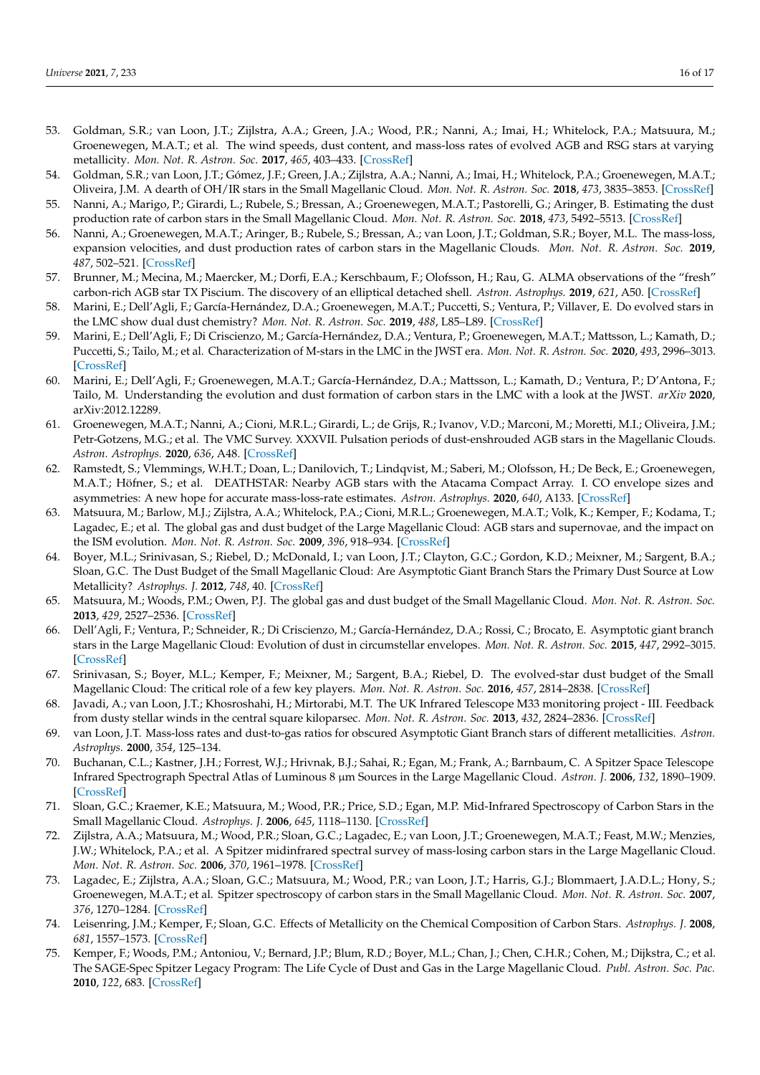- 53. Goldman, S.R.; van Loon, J.T.; Zijlstra, A.A.; Green, J.A.; Wood, P.R.; Nanni, A.; Imai, H.; Whitelock, P.A.; Matsuura, M.; Groenewegen, M.A.T.; et al. The wind speeds, dust content, and mass-loss rates of evolved AGB and RSG stars at varying metallicity. *Mon. Not. R. Astron. Soc.* **2017**, *465*, 403–433. [\[CrossRef\]](http://dx.doi.org/10.1093/mnras/stw2708)
- 54. Goldman, S.R.; van Loon, J.T.; Gómez, J.F.; Green, J.A.; Zijlstra, A.A.; Nanni, A.; Imai, H.; Whitelock, P.A.; Groenewegen, M.A.T.; Oliveira, J.M. A dearth of OH/IR stars in the Small Magellanic Cloud. *Mon. Not. R. Astron. Soc.* **2018**, *473*, 3835–3853. [\[CrossRef\]](http://dx.doi.org/10.1093/mnras/stx2601)
- <span id="page-15-8"></span>55. Nanni, A.; Marigo, P.; Girardi, L.; Rubele, S.; Bressan, A.; Groenewegen, M.A.T.; Pastorelli, G.; Aringer, B. Estimating the dust production rate of carbon stars in the Small Magellanic Cloud. *Mon. Not. R. Astron. Soc.* **2018**, *473*, 5492–5513. [\[CrossRef\]](http://dx.doi.org/10.1093/mnras/stx2641)
- <span id="page-15-9"></span>56. Nanni, A.; Groenewegen, M.A.T.; Aringer, B.; Rubele, S.; Bressan, A.; van Loon, J.T.; Goldman, S.R.; Boyer, M.L. The mass-loss, expansion velocities, and dust production rates of carbon stars in the Magellanic Clouds. *Mon. Not. R. Astron. Soc.* **2019**, *487*, 502–521. [\[CrossRef\]](http://dx.doi.org/10.1093/mnras/stz1255)
- 57. Brunner, M.; Mecina, M.; Maercker, M.; Dorfi, E.A.; Kerschbaum, F.; Olofsson, H.; Rau, G. ALMA observations of the "fresh" carbon-rich AGB star TX Piscium. The discovery of an elliptical detached shell. *Astron. Astrophys.* **2019**, *621*, A50. [\[CrossRef\]](http://dx.doi.org/10.1051/0004-6361/201833652)
- 58. Marini, E.; Dell'Agli, F.; García-Hernández, D.A.; Groenewegen, M.A.T.; Puccetti, S.; Ventura, P.; Villaver, E. Do evolved stars in the LMC show dual dust chemistry? *Mon. Not. R. Astron. Soc.* **2019**, *488*, L85–L89. [\[CrossRef\]](http://dx.doi.org/10.1093/mnrasl/slz105)
- 59. Marini, E.; Dell'Agli, F.; Di Criscienzo, M.; García-Hernández, D.A.; Ventura, P.; Groenewegen, M.A.T.; Mattsson, L.; Kamath, D.; Puccetti, S.; Tailo, M.; et al. Characterization of M-stars in the LMC in the JWST era. *Mon. Not. R. Astron. Soc.* **2020**, *493*, 2996–3013. [\[CrossRef\]](http://dx.doi.org/10.1093/mnras/staa353)
- 60. Marini, E.; Dell'Agli, F.; Groenewegen, M.A.T.; García-Hernández, D.A.; Mattsson, L.; Kamath, D.; Ventura, P.; D'Antona, F.; Tailo, M. Understanding the evolution and dust formation of carbon stars in the LMC with a look at the JWST. *arXiv* **2020**, arXiv:2012.12289.
- 61. Groenewegen, M.A.T.; Nanni, A.; Cioni, M.R.L.; Girardi, L.; de Grijs, R.; Ivanov, V.D.; Marconi, M.; Moretti, M.I.; Oliveira, J.M.; Petr-Gotzens, M.G.; et al. The VMC Survey. XXXVII. Pulsation periods of dust-enshrouded AGB stars in the Magellanic Clouds. *Astron. Astrophys.* **2020**, *636*, A48. [\[CrossRef\]](http://dx.doi.org/10.1051/0004-6361/201937271)
- <span id="page-15-0"></span>62. Ramstedt, S.; Vlemmings, W.H.T.; Doan, L.; Danilovich, T.; Lindqvist, M.; Saberi, M.; Olofsson, H.; De Beck, E.; Groenewegen, M.A.T.; Höfner, S.; et al. DEATHSTAR: Nearby AGB stars with the Atacama Compact Array. I. CO envelope sizes and asymmetries: A new hope for accurate mass-loss-rate estimates. *Astron. Astrophys.* **2020**, *640*, A133. [\[CrossRef\]](http://dx.doi.org/10.1051/0004-6361/201936874)
- <span id="page-15-1"></span>63. Matsuura, M.; Barlow, M.J.; Zijlstra, A.A.; Whitelock, P.A.; Cioni, M.R.L.; Groenewegen, M.A.T.; Volk, K.; Kemper, F.; Kodama, T.; Lagadec, E.; et al. The global gas and dust budget of the Large Magellanic Cloud: AGB stars and supernovae, and the impact on the ISM evolution. *Mon. Not. R. Astron. Soc.* **2009**, *396*, 918–934. [\[CrossRef\]](http://dx.doi.org/10.1111/j.1365-2966.2009.14743.x)
- 64. Boyer, M.L.; Srinivasan, S.; Riebel, D.; McDonald, I.; van Loon, J.T.; Clayton, G.C.; Gordon, K.D.; Meixner, M.; Sargent, B.A.; Sloan, G.C. The Dust Budget of the Small Magellanic Cloud: Are Asymptotic Giant Branch Stars the Primary Dust Source at Low Metallicity? *Astrophys. J.* **2012**, *748*, 40. [\[CrossRef\]](http://dx.doi.org/10.1088/0004-637X/748/1/40)
- 65. Matsuura, M.; Woods, P.M.; Owen, P.J. The global gas and dust budget of the Small Magellanic Cloud. *Mon. Not. R. Astron. Soc.* **2013**, *429*, 2527–2536. [\[CrossRef\]](http://dx.doi.org/10.1093/mnras/sts521)
- <span id="page-15-7"></span>66. Dell'Agli, F.; Ventura, P.; Schneider, R.; Di Criscienzo, M.; García-Hernández, D.A.; Rossi, C.; Brocato, E. Asymptotic giant branch stars in the Large Magellanic Cloud: Evolution of dust in circumstellar envelopes. *Mon. Not. R. Astron. Soc.* **2015**, *447*, 2992–3015. [\[CrossRef\]](http://dx.doi.org/10.1093/mnras/stu2559)
- <span id="page-15-2"></span>67. Srinivasan, S.; Boyer, M.L.; Kemper, F.; Meixner, M.; Sargent, B.A.; Riebel, D. The evolved-star dust budget of the Small Magellanic Cloud: The critical role of a few key players. *Mon. Not. R. Astron. Soc.* **2016**, *457*, 2814–2838. [\[CrossRef\]](http://dx.doi.org/10.1093/mnras/stw155)
- <span id="page-15-3"></span>68. Javadi, A.; van Loon, J.T.; Khosroshahi, H.; Mirtorabi, M.T. The UK Infrared Telescope M33 monitoring project - III. Feedback from dusty stellar winds in the central square kiloparsec. *Mon. Not. R. Astron. Soc.* **2013**, *432*, 2824–2836. [\[CrossRef\]](http://dx.doi.org/10.1093/mnras/stt640)
- <span id="page-15-4"></span>69. van Loon, J.T. Mass-loss rates and dust-to-gas ratios for obscured Asymptotic Giant Branch stars of different metallicities. *Astron. Astrophys.* **2000**, *354*, 125–134.
- <span id="page-15-5"></span>70. Buchanan, C.L.; Kastner, J.H.; Forrest, W.J.; Hrivnak, B.J.; Sahai, R.; Egan, M.; Frank, A.; Barnbaum, C. A Spitzer Space Telescope Infrared Spectrograph Spectral Atlas of Luminous 8 µm Sources in the Large Magellanic Cloud. *Astron. J.* **2006**, *132*, 1890–1909. [\[CrossRef\]](http://dx.doi.org/10.1086/507329)
- 71. Sloan, G.C.; Kraemer, K.E.; Matsuura, M.; Wood, P.R.; Price, S.D.; Egan, M.P. Mid-Infrared Spectroscopy of Carbon Stars in the Small Magellanic Cloud. *Astrophys. J.* **2006**, *645*, 1118–1130. [\[CrossRef\]](http://dx.doi.org/10.1086/504516)
- 72. Zijlstra, A.A.; Matsuura, M.; Wood, P.R.; Sloan, G.C.; Lagadec, E.; van Loon, J.T.; Groenewegen, M.A.T.; Feast, M.W.; Menzies, J.W.; Whitelock, P.A.; et al. A Spitzer midinfrared spectral survey of mass-losing carbon stars in the Large Magellanic Cloud. *Mon. Not. R. Astron. Soc.* **2006**, *370*, 1961–1978. [\[CrossRef\]](http://dx.doi.org/10.1111/j.1365-2966.2006.10623.x)
- 73. Lagadec, E.; Zijlstra, A.A.; Sloan, G.C.; Matsuura, M.; Wood, P.R.; van Loon, J.T.; Harris, G.J.; Blommaert, J.A.D.L.; Hony, S.; Groenewegen, M.A.T.; et al. Spitzer spectroscopy of carbon stars in the Small Magellanic Cloud. *Mon. Not. R. Astron. Soc.* **2007**, *376*, 1270–1284. [\[CrossRef\]](http://dx.doi.org/10.1111/j.1365-2966.2007.11517.x)
- 74. Leisenring, J.M.; Kemper, F.; Sloan, G.C. Effects of Metallicity on the Chemical Composition of Carbon Stars. *Astrophys. J.* **2008**, *681*, 1557–1573. [\[CrossRef\]](http://dx.doi.org/10.1086/588378)
- <span id="page-15-6"></span>75. Kemper, F.; Woods, P.M.; Antoniou, V.; Bernard, J.P.; Blum, R.D.; Boyer, M.L.; Chan, J.; Chen, C.H.R.; Cohen, M.; Dijkstra, C.; et al. The SAGE-Spec Spitzer Legacy Program: The Life Cycle of Dust and Gas in the Large Magellanic Cloud. *Publ. Astron. Soc. Pac.* **2010**, *122*, 683. [\[CrossRef\]](http://dx.doi.org/10.1086/653438)